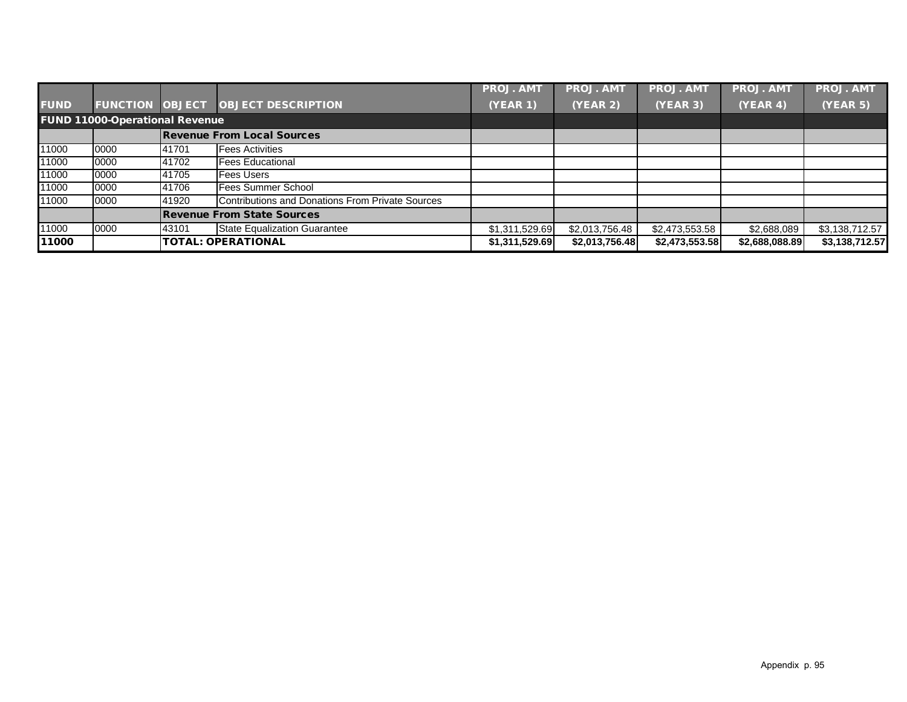|             |                                       |       |                                                  | <b>PROJ. AMT</b> | <b>PROJ. AMT</b> | <b>PROJ. AMT</b> | <b>PROJ. AMT</b> | <b>PROJ. AMT</b> |
|-------------|---------------------------------------|-------|--------------------------------------------------|------------------|------------------|------------------|------------------|------------------|
| <b>FUND</b> | <b>FUNCTION OBJECT</b>                |       | <b>OBJECT DESCRIPTION</b>                        | <b>(YEAR 1)</b>  | (YEAR 2)         | (YEAR 3)         | (YEAR 4)         | (YEAR 5)         |
|             | <b>FUND 11000-Operational Revenue</b> |       |                                                  |                  |                  |                  |                  |                  |
|             |                                       |       | <b>Revenue From Local Sources</b>                |                  |                  |                  |                  |                  |
| 11000       | 0000                                  | 41701 | <b>Fees Activities</b>                           |                  |                  |                  |                  |                  |
| 11000       | 0000                                  | 41702 | <b>Fees Educational</b>                          |                  |                  |                  |                  |                  |
| 11000       | 0000                                  | 41705 | <b>Fees Users</b>                                |                  |                  |                  |                  |                  |
| 11000       | 0000                                  | 41706 | <b>Fees Summer School</b>                        |                  |                  |                  |                  |                  |
| 11000       | 0000                                  | 41920 | Contributions and Donations From Private Sources |                  |                  |                  |                  |                  |
|             |                                       |       | <b>Revenue From State Sources</b>                |                  |                  |                  |                  |                  |
| 11000       | 0000                                  | 43101 | <b>State Equalization Guarantee</b>              | \$1,311,529.69   | \$2,013,756.48   | \$2,473,553.58   | \$2,688,089      | \$3,138,712.57   |
| 11000       |                                       |       | <b>TOTAL: OPERATIONAL</b>                        | \$1,311,529.69   | \$2,013,756.48   | \$2,473,553.58   | \$2,688,088.89   | \$3,138,712.57   |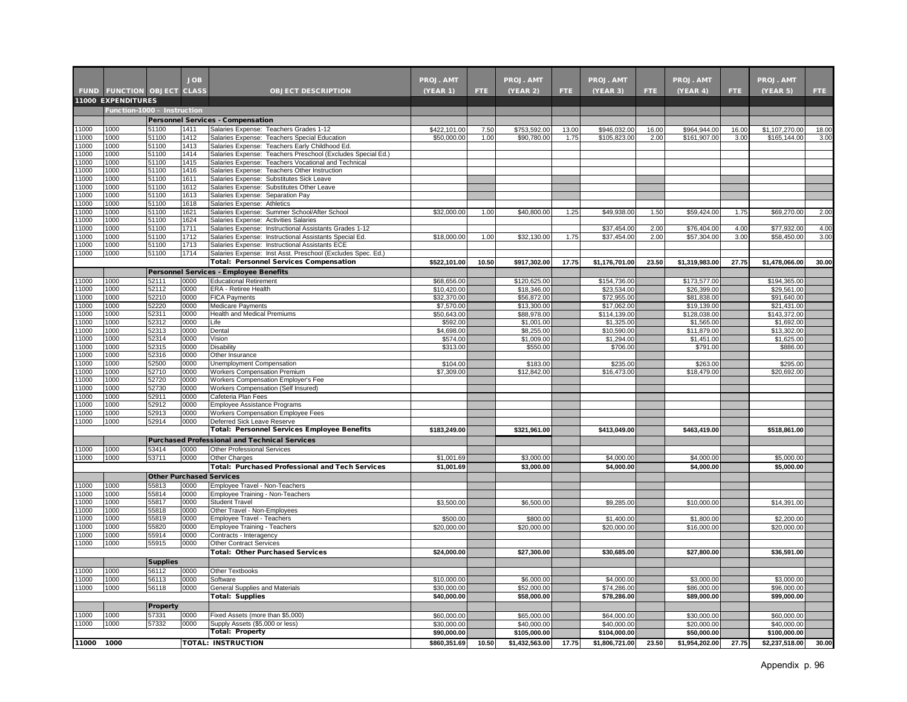|                |                              |                                 | <b>JOB</b>   |                                                                                                              | <b>PROJ. AMT</b>        |       | <b>PROJ. AMT</b>        |       | <b>PROJ. AMT</b>          |            | PROJ. AMT                 |       | <b>PROJ. AMT</b>          |       |
|----------------|------------------------------|---------------------------------|--------------|--------------------------------------------------------------------------------------------------------------|-------------------------|-------|-------------------------|-------|---------------------------|------------|---------------------------|-------|---------------------------|-------|
| <b>FUND</b>    | <b>FUNCTION OBJECT CLASS</b> |                                 |              | <b>OBJECT DESCRIPTION</b>                                                                                    | <b>(YEAR 1)</b>         | FTE.  | (YEAR 2)                | FTE.  | (YEAR 3)                  | <b>FTE</b> | (YEAR 4)                  | FTE.  | (YEAR 5)                  | FTE.  |
|                | <b>11000 EXPENDITURES</b>    |                                 |              |                                                                                                              |                         |       |                         |       |                           |            |                           |       |                           |       |
|                | Function-1000 - Instruction  |                                 |              |                                                                                                              |                         |       |                         |       |                           |            |                           |       |                           |       |
| 11000          | 1000                         | 51100                           | 1411         | <b>Personnel Services - Compensation</b><br>Salaries Expense: Teachers Grades 1-12                           | \$422,101.00            | 7.50  | \$753,592.00            | 13.00 | \$946,032.00              | 16.00      | \$964,944.00              | 16.00 | \$1,107,270.00            | 18.00 |
| 11000          | 1000                         | 51100                           | 1412         | Salaries Expense: Teachers Special Education                                                                 | \$50,000.00             | 1.00  | \$90,780.00             | 1.75  | \$105,823.00              | 2.00       | \$161,907.00              | 3.00  | \$165,144.00              | 3.00  |
| 11000          | 1000                         | 51100                           | 1413         | Salaries Expense: Teachers Early Childhood Ed.                                                               |                         |       |                         |       |                           |            |                           |       |                           |       |
| 11000          | 1000                         | 51100                           | 1414         | Salaries Expense: Teachers Preschool (Excludes Special Ed.)                                                  |                         |       |                         |       |                           |            |                           |       |                           |       |
| 11000          | 1000                         | 51100                           | 1415         | Salaries Expense: Teachers Vocational and Technical                                                          |                         |       |                         |       |                           |            |                           |       |                           |       |
| 11000          | 1000                         | 51100                           | 1416         | Salaries Expense: Teachers Other Instruction                                                                 |                         |       |                         |       |                           |            |                           |       |                           |       |
| 11000<br>11000 | 1000<br>1000                 | 51100<br>51100                  | 1611<br>1612 | Salaries Expense: Substitutes Sick Leave<br>Salaries Expense: Substitutes Other Leave                        |                         |       |                         |       |                           |            |                           |       |                           |       |
| 11000          | 1000                         | 51100                           | 1613         | Salaries Expense: Separation Pay                                                                             |                         |       |                         |       |                           |            |                           |       |                           |       |
| 11000          | 1000                         | 51100                           | 1618         | Salaries Expense: Athletics                                                                                  |                         |       |                         |       |                           |            |                           |       |                           |       |
| 11000          | 1000                         | 51100                           | 1621         | Salaries Expense: Summer School/After School                                                                 | \$32,000.00             | 1.00  | \$40,800.00             | 1.25  | \$49,938.00               | 1.50       | \$59,424.00               | 1.75  | \$69,270.00               | 2.00  |
| 11000          | 1000                         | 51100                           | 1624         | Salaries Expense: Activities Salaries                                                                        |                         |       |                         |       |                           |            |                           |       |                           |       |
| 11000          | 1000                         | 51100                           | 1711         | Salaries Expense: Instructional Assistants Grades 1-12                                                       |                         |       |                         |       | \$37,454.00               | 2.00       | \$76,404.00               | 4.00  | \$77,932.00               | 4.00  |
| 11000          | 1000                         | 51100                           | 1712         | Salaries Expense: Instructional Assistants Special Ed.                                                       | \$18,000.00             | 1.00  | \$32,130.00             | 1.75  | \$37,454.00               | 2.00       | \$57,304.00               | 3.00  | \$58,450.00               | 3.00  |
| 11000          | 1000                         | 51100                           | 1713         | Salaries Expense: Instructional Assistants ECE                                                               |                         |       |                         |       |                           |            |                           |       |                           |       |
| 11000          | 1000                         | 51100                           | 1714         | Salaries Expense: Inst Asst. Preschool (Excludes Spec. Ed.)<br><b>Total: Personnel Services Compensation</b> | \$522,101.00            | 10.50 | \$917,302.00            | 17.75 | \$1,176,701.00            | 23.50      | \$1,319,983.00            | 27.75 | \$1,478,066.00            | 30.00 |
|                |                              |                                 |              |                                                                                                              |                         |       |                         |       |                           |            |                           |       |                           |       |
| 11000          | 1000                         | 52111                           | 0000         | Personnel Services - Employee Benefits<br><b>Educational Retirement</b>                                      | \$68,656.00             |       | \$120,625.00            |       | \$154,736.00              |            | \$173,577.00              |       | \$194,365.00              |       |
| 11000          | 1000                         | 52112                           | 0000         | ERA - Retiree Health                                                                                         | \$10,420.00             |       | \$18,346.00             |       | \$23,534.00               |            | \$26,399.00               |       | \$29,561.00               |       |
| 11000          | 1000                         | 52210                           | 0000         | <b>FICA Payments</b>                                                                                         | \$32,370.00             |       | \$56,872.00             |       | \$72,955.00               |            | \$81,838.00               |       | \$91,640.00               |       |
| 11000          | 1000                         | 52220                           | 0000         | Medicare Payments                                                                                            | \$7,570.00              |       | \$13,300.00             |       | \$17,062.00               |            | \$19,139.00               |       | \$21,431.00               |       |
| 11000          | 1000                         | 52311                           | 0000         | <b>Health and Medical Premiums</b>                                                                           | \$50,643.00             |       | \$88,978.00             |       | \$114,139.00              |            | \$128,038.00              |       | \$143,372.00              |       |
| 11000          | 1000                         | 52312                           | 0000         | ∟ife                                                                                                         | \$592.00                |       | \$1,001.00              |       | \$1,325.00                |            | \$1,565.00                |       | \$1,692.00                |       |
| 11000          | 1000                         | 52313                           | 0000         | Dental                                                                                                       | \$4,698.00              |       | \$8,255.00              |       | \$10,590.00               |            | \$11,879.00               |       | \$13,302.00               |       |
| 11000<br>11000 | 1000<br>1000                 | 52314<br>52315                  | 0000<br>0000 | Vision<br>Disability                                                                                         | \$574.00<br>\$313.00    |       | \$1,009.00<br>\$550.00  |       | \$1,294.00<br>\$706.00    |            | \$1,451.00<br>\$791.00    |       | \$1,625.00<br>\$886.00    |       |
| 11000          | 1000                         | 52316                           | 0000         | Other Insurance                                                                                              |                         |       |                         |       |                           |            |                           |       |                           |       |
| 11000          | 1000                         | 52500                           | 0000         | Unemployment Compensation                                                                                    | \$104.00                |       | \$183.00                |       | \$235.00                  |            | \$263.00                  |       | \$295.00                  |       |
| 11000          | 1000                         | 52710                           | 0000         | Workers Compensation Premium                                                                                 | \$7,309.00              |       | \$12,842.00             |       | \$16,473.00               |            | \$18,479.00               |       | \$20,692.00               |       |
| 11000          | 1000                         | 52720                           | 0000         | Workers Compensation Employer's Fee                                                                          |                         |       |                         |       |                           |            |                           |       |                           |       |
| 11000          | 1000                         | 52730                           | 0000         | Workers Compensation (Self Insured)                                                                          |                         |       |                         |       |                           |            |                           |       |                           |       |
| 11000          | 1000                         | 52911                           | 0000         | Cafeteria Plan Fees                                                                                          |                         |       |                         |       |                           |            |                           |       |                           |       |
| 11000<br>11000 | 1000<br>1000                 | 52912<br>52913                  | 0000<br>0000 | Employee Assistance Programs                                                                                 |                         |       |                         |       |                           |            |                           |       |                           |       |
| 11000          | 1000                         | 52914                           | 0000         | Workers Compensation Employee Fees<br>Deferred Sick Leave Reserve                                            |                         |       |                         |       |                           |            |                           |       |                           |       |
|                |                              |                                 |              | Total: Personnel Services Employee Benefits                                                                  | \$183,249.00            |       | \$321,961.00            |       | \$413,049.00              |            | \$463,419.00              |       | \$518,861.00              |       |
|                |                              |                                 |              | <b>Purchased Professional and Technical Services</b>                                                         |                         |       |                         |       |                           |            |                           |       |                           |       |
| 11000          | 1000                         | 53414                           | 0000         | Other Professional Services                                                                                  |                         |       |                         |       |                           |            |                           |       |                           |       |
| 11000          | 1000                         | 53711                           | 0000         | Other Charges                                                                                                | \$1,001.69              |       | \$3,000.00              |       | \$4,000.00                |            | \$4,000.00                |       | \$5,000.00                |       |
|                |                              |                                 |              | <b>Total: Purchased Professional and Tech Services</b>                                                       | \$1,001.69              |       | \$3,000.00              |       | \$4,000.00                |            | \$4,000.00                |       | \$5,000.00                |       |
|                |                              | <b>Other Purchased Services</b> |              |                                                                                                              |                         |       |                         |       |                           |            |                           |       |                           |       |
| 11000          | 1000                         | 55813                           | 0000         | Employee Travel - Non-Teachers                                                                               |                         |       |                         |       |                           |            |                           |       |                           |       |
| 11000          | 1000                         | 55814                           | 0000         | Employee Training - Non-Teachers                                                                             |                         |       |                         |       |                           |            |                           |       |                           |       |
| 11000          | 1000                         | 55817                           | 0000         | Student Travel                                                                                               | \$3,500.00              |       | \$6,500.00              |       | \$9,285.00                |            | \$10,000.00               |       | \$14,391.00               |       |
| 11000          | 1000                         | 55818                           | 0000         | Other Travel - Non-Employees                                                                                 |                         |       |                         |       |                           |            |                           |       |                           |       |
| 11000<br>11000 | 1000<br>1000                 | 55819<br>55820                  | 0000<br>0000 | Employee Travel - Teachers                                                                                   | \$500.00<br>\$20,000.00 |       | \$800.00<br>\$20,000.00 |       | \$1,400.00<br>\$20,000.00 |            | \$1,800.00<br>\$16,000.00 |       | \$2,200.00<br>\$20,000.00 |       |
| 11000          | 1000                         | 55914                           | 0000         | Employee Training - Teachers<br>Contracts - Interagency                                                      |                         |       |                         |       |                           |            |                           |       |                           |       |
| 11000          | 1000                         | 55915                           | 0000         | <b>Other Contract Services</b>                                                                               |                         |       |                         |       |                           |            |                           |       |                           |       |
|                |                              |                                 |              | Total: Other Purchased Services                                                                              | \$24,000.00             |       | \$27,300.00             |       | \$30,685.00               |            | \$27,800.00               |       | \$36,591.00               |       |
|                |                              | <b>Supplies</b>                 |              |                                                                                                              |                         |       |                         |       |                           |            |                           |       |                           |       |
| 11000          | 1000                         | 56112                           | 0000         | Other Textbooks                                                                                              |                         |       |                         |       |                           |            |                           |       |                           |       |
| 11000          | 1000                         | 56113                           | 0000         | Software                                                                                                     | \$10,000.00             |       | \$6,000.00              |       | \$4,000.00                |            | \$3,000.00                |       | \$3,000.00                |       |
| 11000          | 1000                         | 56118                           | 0000         | General Supplies and Materials                                                                               | \$30,000.00             |       | \$52,000.00             |       | \$74,286.00               |            | \$86,000.00               |       | \$96,000.00               |       |
|                |                              |                                 |              | <b>Total: Supplies</b>                                                                                       | \$40,000.00             |       | \$58,000.00             |       | \$78,286.00               |            | \$89,000.00               |       | \$99,000.00               |       |
|                |                              | <b>Property</b>                 |              |                                                                                                              |                         |       |                         |       |                           |            |                           |       |                           |       |
| 11000          | 1000                         | 57331                           | 0000         | Fixed Assets (more than \$5,000)                                                                             | \$60,000.00             |       | \$65,000.00             |       | \$64,000.00               |            | \$30,000.00               |       | \$60,000.00               |       |
| 11000          | 1000                         | 57332                           | 0000         | Supply Assets (\$5,000 or less)                                                                              | \$30,000.00             |       | \$40,000.00             |       | \$40,000.00               |            | \$20,000.00               |       | \$40,000.00               |       |
|                |                              |                                 |              | <b>Total: Property</b>                                                                                       | \$90,000.00             |       | \$105,000.00            |       | \$104,000.00              |            | \$50,000.00               |       | \$100,000.00              |       |
| 11000 1000     |                              |                                 |              | <b>TOTAL: INSTRUCTION</b>                                                                                    | \$860,351.69            | 10.50 | \$1,432,563.00          | 17.75 | \$1,806,721.00            | 23.50      | \$1,954,202.00            | 27.75 | \$2,237,518.00            | 30.00 |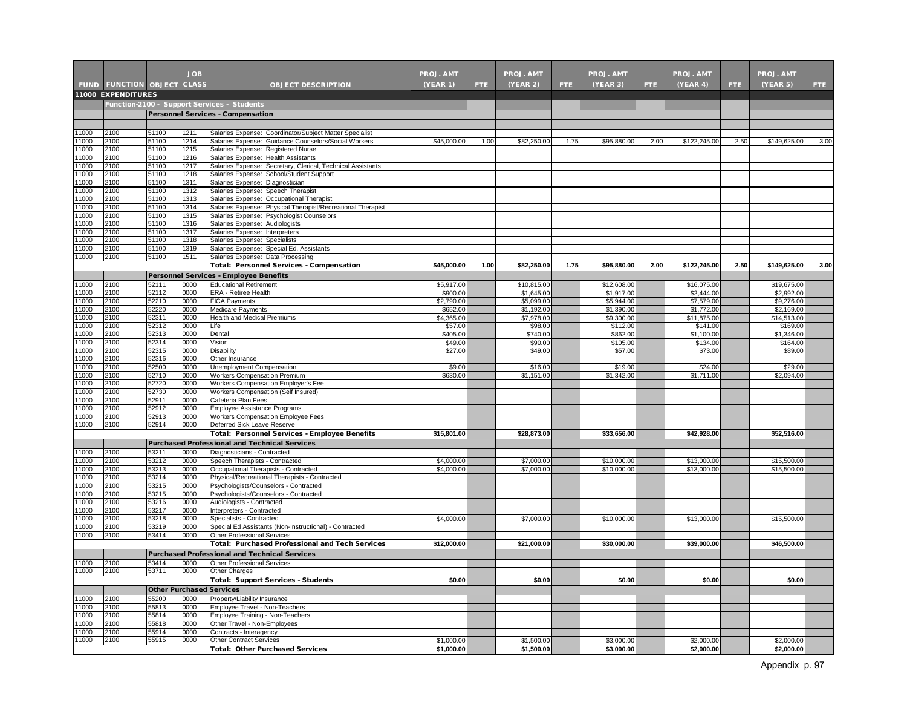|               |                                                          |                | <b>JOB</b>   |                                                                                                    |                          |      |                           |      |                           |      |                           |      |                           |      |
|---------------|----------------------------------------------------------|----------------|--------------|----------------------------------------------------------------------------------------------------|--------------------------|------|---------------------------|------|---------------------------|------|---------------------------|------|---------------------------|------|
|               |                                                          |                |              |                                                                                                    | <b>PROJ. AMT</b>         |      | <b>PROJ. AMT</b>          |      | <b>PROJ. AMT</b>          |      | PROJ. AMT                 |      | <b>PROJ. AMT</b>          |      |
|               | <b>FUND FUNCTION OBJECT</b><br><b>11000 EXPENDITURES</b> |                | <b>CLASS</b> | <b>OBJECT DESCRIPTION</b>                                                                          | (YEAR 1)                 | FTE. | (YEAR 2)                  | FTE. | (YEAR 3)                  | FTE. | (YEAR 4)                  | FTE. | (YEAR 5)                  | FTE. |
|               |                                                          |                |              | Function-2100 - Support Services - Students                                                        |                          |      |                           |      |                           |      |                           |      |                           |      |
|               |                                                          |                |              | Personnel Services - Compensation                                                                  |                          |      |                           |      |                           |      |                           |      |                           |      |
|               |                                                          |                |              |                                                                                                    |                          |      |                           |      |                           |      |                           |      |                           |      |
| 11000         | 2100                                                     | 51100          | 1211         | Salaries Expense: Coordinator/Subject Matter Specialist                                            |                          |      |                           |      |                           |      |                           |      |                           |      |
| 1000          | 2100                                                     | 51100          | 1214         | Salaries Expense: Guidance Counselors/Social Workers                                               | \$45,000.00              | 1.00 | \$82,250.00               | 1.75 | \$95,880.00               | 2.00 | \$122,245.00              | 2.50 | \$149,625.00              | 3.00 |
| 1000          | 2100                                                     | 51100          | 1215         | Salaries Expense: Registered Nurse                                                                 |                          |      |                           |      |                           |      |                           |      |                           |      |
| 1000<br>1000  | 2100<br>2100                                             | 51100<br>51100 | 1216<br>1217 | Salaries Expense: Health Assistants<br>Salaries Expense: Secretary, Clerical, Technical Assistants |                          |      |                           |      |                           |      |                           |      |                           |      |
| 11000         | 2100                                                     | 51100          | 1218         | Salaries Expense: School/Student Support                                                           |                          |      |                           |      |                           |      |                           |      |                           |      |
| 11000         | 2100                                                     | 51100          | 1311         | Salaries Expense: Diagnostician                                                                    |                          |      |                           |      |                           |      |                           |      |                           |      |
| 1000          | 2100                                                     | 51100          | 1312         | Salaries Expense: Speech Therapist                                                                 |                          |      |                           |      |                           |      |                           |      |                           |      |
| 1000          | 2100                                                     | 51100          | 1313         | Salaries Expense: Occupational Therapist                                                           |                          |      |                           |      |                           |      |                           |      |                           |      |
| 1000<br>1000  | 2100<br>2100                                             | 51100<br>51100 | 1314<br>1315 | Salaries Expense: Physical Therapist/Recreational Therapist                                        |                          |      |                           |      |                           |      |                           |      |                           |      |
| 1000          | 2100                                                     | 51100          | 1316         | Salaries Expense: Psychologist Counselors<br>Salaries Expense: Audiologists                        |                          |      |                           |      |                           |      |                           |      |                           |      |
| 1000          | 2100                                                     | 51100          | 1317         | Salaries Expense: Interpreters                                                                     |                          |      |                           |      |                           |      |                           |      |                           |      |
| 1000          | 2100                                                     | 51100          | 1318         | Salaries Expense: Specialists                                                                      |                          |      |                           |      |                           |      |                           |      |                           |      |
| 1000          | 2100                                                     | 51100          | 1319         | Salaries Expense: Special Ed. Assistants                                                           |                          |      |                           |      |                           |      |                           |      |                           |      |
| 1000          | 2100                                                     | 51100          | 1511         | Salaries Expense: Data Processing                                                                  |                          |      |                           |      |                           |      |                           |      |                           |      |
|               |                                                          |                |              | Total: Personnel Services - Compensation                                                           | \$45.000.00              | 1.00 | \$82,250.00               | 1.75 | \$95.880.00               | 2.00 | \$122,245.00              | 2.50 | \$149.625.00              | 3.00 |
|               |                                                          |                |              | Personnel Services - Employee Benefits                                                             |                          |      |                           |      |                           |      |                           |      |                           |      |
| 1000<br>11000 | 2100<br>2100                                             | 52111<br>52112 | 0000<br>0000 | <b>Educational Retirement</b><br>ERA - Retiree Health                                              | \$5,917.00<br>\$900.00   |      | \$10,815.00<br>\$1,645.00 |      | \$12,608.00<br>\$1,917.00 |      | \$16,075.00<br>\$2,444.00 |      | \$19,675.00<br>\$2,992.00 |      |
| 11000         | 2100                                                     | 52210          | 0000         | <b>FICA Payments</b>                                                                               | \$2,790.00               |      | \$5,099.00                |      | \$5,944.00                |      | \$7,579.00                |      | \$9,276.00                |      |
| 1000          | 2100                                                     | 52220          | 0000         | <b>Medicare Payments</b>                                                                           | \$652.00                 |      | \$1,192.00                |      | \$1,390.00                |      | \$1,772.00                |      | \$2,169.00                |      |
| 11000         | 2100                                                     | 52311          | 0000         | Health and Medical Premiums                                                                        | \$4,365.00               |      | \$7,978.00                |      | \$9,300.00                |      | \$11,875.00               |      | \$14,513.00               |      |
| 1000          | 2100                                                     | 52312          | 0000         | Life                                                                                               | \$57.00                  |      | \$98.00                   |      | \$112.00                  |      | \$141.00                  |      | \$169.00                  |      |
| 1000          | 2100                                                     | 52313          | 0000         | Dental                                                                                             | \$405.00                 |      | \$740.00                  |      | \$862.00                  |      | \$1,100.00                |      | \$1,346.00                |      |
| 1000<br>1000  | 2100<br>2100                                             | 52314<br>52315 | 0000<br>0000 | Vision<br>Disability                                                                               | \$49.00<br>\$27.00       |      | \$90.00<br>\$49.00        |      | \$105.00                  |      | \$134.00<br>\$73.00       |      | \$164.00<br>\$89.00       |      |
| 1000          | 2100                                                     | 52316          | 0000         | Other Insurance                                                                                    |                          |      |                           |      | \$57.00                   |      |                           |      |                           |      |
| 1000          | 2100                                                     | 52500          | 0000         | Unemployment Compensation                                                                          | \$9.00                   |      | \$16.00                   |      | \$19.00                   |      | \$24.00                   |      | \$29.00                   |      |
| 1000          | 2100                                                     | 52710          | 0000         | <b>Workers Compensation Premium</b>                                                                | \$630.00                 |      | \$1,151.00                |      | \$1,342.00                |      | \$1,711.00                |      | \$2,094.00                |      |
| 1000          | 2100                                                     | 52720          | 0000         | Workers Compensation Employer's Fee                                                                |                          |      |                           |      |                           |      |                           |      |                           |      |
| 1000          | 2100                                                     | 52730          | 0000         | Workers Compensation (Self Insured)                                                                |                          |      |                           |      |                           |      |                           |      |                           |      |
| 1000<br>1000  | 2100<br>2100                                             | 52911<br>52912 | 0000<br>0000 | Cafeteria Plan Fees                                                                                |                          |      |                           |      |                           |      |                           |      |                           |      |
| 1000          | 2100                                                     | 52913          | 0000         | Employee Assistance Programs<br>Workers Compensation Employee Fees                                 |                          |      |                           |      |                           |      |                           |      |                           |      |
| 11000         | 2100                                                     | 52914          | 0000         | Deferred Sick Leave Reserve                                                                        |                          |      |                           |      |                           |      |                           |      |                           |      |
|               |                                                          |                |              | Total: Personnel Services - Employee Benefits                                                      | \$15.801.00              |      | \$28.873.00               |      | \$33.656.00               |      | \$42.928.00               |      | \$52.516.00               |      |
|               |                                                          |                |              | <b>Purchased Professional and Technical Services</b>                                               |                          |      |                           |      |                           |      |                           |      |                           |      |
| 11000         | 2100                                                     | 53211          | 0000         | Diagnosticians - Contracted                                                                        |                          |      |                           |      |                           |      |                           |      |                           |      |
| 11000         | 2100                                                     | 53212          | 0000         | Speech Therapists - Contracted                                                                     | \$4,000.00               |      | \$7,000.00                |      | \$10,000.00               |      | \$13,000.00               |      | \$15,500.00               |      |
| 1000<br>1000  | 2100<br>2100                                             | 53213<br>53214 | 0000<br>0000 | Occupational Therapists - Contracted                                                               | \$4,000.00               |      | \$7,000.00                |      | \$10,000.00               |      | \$13,000.00               |      | \$15,500.00               |      |
| 1000          | 2100                                                     | 53215          | 0000         | Physical/Recreational Therapists - Contracted<br>Psychologists/Counselors - Contracted             |                          |      |                           |      |                           |      |                           |      |                           |      |
| 1000          | 2100                                                     | 53215          | 0000         | Psychologists/Counselors - Contracted                                                              |                          |      |                           |      |                           |      |                           |      |                           |      |
| 1000          | 2100                                                     | 53216          | 0000         | Audiologists - Contracted                                                                          |                          |      |                           |      |                           |      |                           |      |                           |      |
| 1000          | 2100                                                     | 53217          | 0000         | Interpreters - Contracted                                                                          |                          |      |                           |      |                           |      |                           |      |                           |      |
| 1000          | 2100                                                     | 53218          | 0000         | Specialists - Contracted                                                                           | \$4,000.00               |      | \$7,000.00                |      | \$10,000.00               |      | \$13,000.00               |      | \$15,500.00               |      |
| 1000          | 2100                                                     | 53219          | 0000         | Special Ed Assistants (Non-Instructional) - Contracted                                             |                          |      |                           |      |                           |      |                           |      |                           |      |
| 1000          | 2100                                                     | 53414          | 0000         | Other Professional Services<br><b>Total: Purchased Professional and Tech Services</b>              | \$12,000.00              |      | \$21,000.00               |      | \$30,000.00               |      | \$39,000.00               |      | \$46,500.00               |      |
|               |                                                          |                |              | <b>Purchased Professional and Technical Services</b>                                               |                          |      |                           |      |                           |      |                           |      |                           |      |
| 1000          | 2100                                                     | 53414          | 0000         | Other Professional Services                                                                        |                          |      |                           |      |                           |      |                           |      |                           |      |
| 1000          | 2100                                                     | 53711          | 0000         | Other Charges                                                                                      |                          |      |                           |      |                           |      |                           |      |                           |      |
|               |                                                          |                |              | <b>Total: Support Services - Students</b>                                                          | \$0.00                   |      | \$0.00                    |      | \$0.00                    |      | \$0.00                    |      | \$0.00                    |      |
|               |                                                          |                |              | <b>Other Purchased Services</b>                                                                    |                          |      |                           |      |                           |      |                           |      |                           |      |
| 1000          | 2100                                                     | 55200          | 0000         | Property/Liability Insurance                                                                       |                          |      |                           |      |                           |      |                           |      |                           |      |
| 11000         | 2100                                                     | 55813          | 0000         | Employee Travel - Non-Teachers                                                                     |                          |      |                           |      |                           |      |                           |      |                           |      |
| 1000          | 2100                                                     | 55814          | 0000         | Employee Training - Non-Teachers                                                                   |                          |      |                           |      |                           |      |                           |      |                           |      |
| 1000          | 2100                                                     | 55818          | 0000         | Other Travel - Non-Employees                                                                       |                          |      |                           |      |                           |      |                           |      |                           |      |
| 1000<br>1000  | 2100<br>2100                                             | 55914          | 0000<br>0000 | Contracts - Interagency                                                                            |                          |      |                           |      |                           |      |                           |      |                           |      |
|               |                                                          | 55915          |              | <b>Other Contract Services</b><br><b>Total: Other Purchased Services</b>                           | \$1,000.00<br>\$1,000.00 |      | \$1,500.00<br>\$1,500.00  |      | \$3,000.00<br>\$3,000.00  |      | \$2,000.00<br>\$2,000.00  |      | \$2,000.00<br>\$2,000.00  |      |
|               |                                                          |                |              |                                                                                                    |                          |      |                           |      |                           |      |                           |      |                           |      |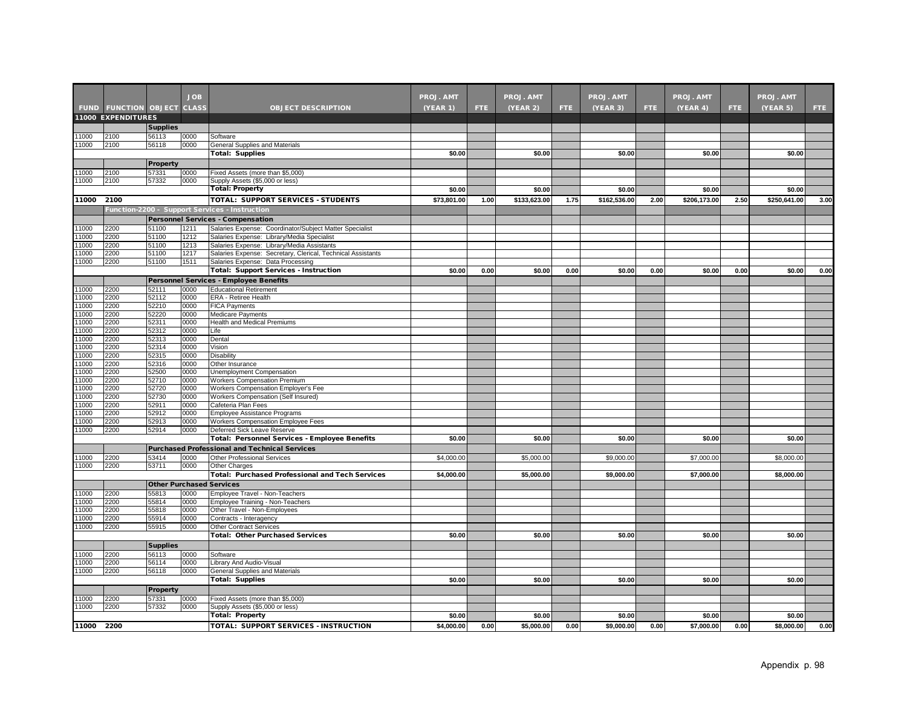|                |                                   |                 | <b>JOB</b>   |                                                                                          | <b>PROJ. AMT</b> |      | <b>PROJ. AMT</b> |      | <b>PROJ. AMT</b> |      | <b>PROJ. AMT</b> |      | <b>PROJ. AMT</b> |      |
|----------------|-----------------------------------|-----------------|--------------|------------------------------------------------------------------------------------------|------------------|------|------------------|------|------------------|------|------------------|------|------------------|------|
|                | <b>FUND FUNCTION OBJECT CLASS</b> |                 |              | <b>OBJECT DESCRIPTION</b>                                                                | (YEAR 1)         | FTE: | (YEAR 2)         | FTE. | (YEAR 3)         | FTE. | (YEAR 4)         | FTE. | (YEAR 5)         | FTE. |
|                | 11000 EXPENDITURES                |                 |              |                                                                                          |                  |      |                  |      |                  |      |                  |      |                  |      |
|                |                                   | <b>Supplies</b> |              |                                                                                          |                  |      |                  |      |                  |      |                  |      |                  |      |
| 1000           | 2100                              | 56113           | 0000         | Software                                                                                 |                  |      |                  |      |                  |      |                  |      |                  |      |
| 11000          | 2100                              | 56118           | 0000         | General Supplies and Materials                                                           |                  |      |                  |      |                  |      |                  |      |                  |      |
|                |                                   |                 |              | <b>Total: Supplies</b>                                                                   | \$0.00           |      | \$0.00           |      | \$0.00           |      | \$0.00           |      | \$0.00           |      |
|                |                                   | <b>Property</b> |              |                                                                                          |                  |      |                  |      |                  |      |                  |      |                  |      |
| 11000          | 2100                              | 57331           | 0000         | Fixed Assets (more than \$5,000)                                                         |                  |      |                  |      |                  |      |                  |      |                  |      |
| 11000          | 2100                              | 57332           | 0000         | Supply Assets (\$5,000 or less)                                                          |                  |      |                  |      |                  |      |                  |      |                  |      |
|                |                                   |                 |              | <b>Total: Property</b>                                                                   | \$0.00           |      | \$0.00           |      | \$0.00           |      | \$0.00           |      | \$0.00           |      |
| 11000          | 2100                              |                 |              | <b>TOTAL: SUPPORT SERVICES - STUDENTS</b>                                                | \$73,801.00      | 1.00 | \$133,623.00     | 1.75 | \$162,536.00     | 2.00 | \$206,173.00     | 2.50 | \$250,641.00     | 3.00 |
|                |                                   |                 |              | Function-2200 - Support Services - Instruction                                           |                  |      |                  |      |                  |      |                  |      |                  |      |
|                |                                   |                 |              | Personnel Services - Compensation                                                        |                  |      |                  |      |                  |      |                  |      |                  |      |
| 11000          | 2200                              | 51100           | 1211         | Salaries Expense: Coordinator/Subject Matter Specialist                                  |                  |      |                  |      |                  |      |                  |      |                  |      |
| 1000<br>11000  | 2200<br>2200                      | 51100<br>51100  | 1212<br>1213 | Salaries Expense: Library/Media Specialist<br>Salaries Expense: Library/Media Assistants |                  |      |                  |      |                  |      |                  |      |                  |      |
| 1000           | 2200                              | 51100           | 1217         | Salaries Expense: Secretary, Clerical, Technical Assistants                              |                  |      |                  |      |                  |      |                  |      |                  |      |
| 11000          | 2200                              | 51100           | 1511         | Salaries Expense: Data Processing                                                        |                  |      |                  |      |                  |      |                  |      |                  |      |
|                |                                   |                 |              | <b>Total: Support Services - Instruction</b>                                             | \$0.00           | 0.00 | \$0.00           | 0.00 | \$0.00           | 0.00 | \$0.00           | 0.00 | \$0.00           | 0.00 |
|                |                                   |                 |              | Personnel Services - Employee Benefits                                                   |                  |      |                  |      |                  |      |                  |      |                  |      |
| 11000          | 2200                              | 52111           | 0000         | <b>Educational Retirement</b>                                                            |                  |      |                  |      |                  |      |                  |      |                  |      |
| 11000          | 2200                              | 52112           | 0000         | ERA - Retiree Health                                                                     |                  |      |                  |      |                  |      |                  |      |                  |      |
| 11000          | 2200                              | 52210           | 0000         | <b>FICA Payments</b>                                                                     |                  |      |                  |      |                  |      |                  |      |                  |      |
| 11000          | 2200                              | 52220           | 0000         | Medicare Payments                                                                        |                  |      |                  |      |                  |      |                  |      |                  |      |
| 1000           | 2200                              | 52311           | 0000         | Health and Medical Premiums                                                              |                  |      |                  |      |                  |      |                  |      |                  |      |
| 11000          | 2200                              | 52312           | 0000         | Life                                                                                     |                  |      |                  |      |                  |      |                  |      |                  |      |
| 1000           | 2200                              | 52313           | 0000         | Dental                                                                                   |                  |      |                  |      |                  |      |                  |      |                  |      |
| 1000           | 2200                              | 52314           | 0000         | Vision                                                                                   |                  |      |                  |      |                  |      |                  |      |                  |      |
| 1000<br>11000  | 2200<br>2200                      | 52315<br>52316  | 0000<br>0000 | <b>Disability</b><br>Other Insurance                                                     |                  |      |                  |      |                  |      |                  |      |                  |      |
| 1000           | 2200                              | 52500           | 0000         | Unemployment Compensation                                                                |                  |      |                  |      |                  |      |                  |      |                  |      |
| 11000          | 2200                              | 52710           | 0000         | <b>Workers Compensation Premium</b>                                                      |                  |      |                  |      |                  |      |                  |      |                  |      |
| 11000          | 2200                              | 52720           | 0000         | Workers Compensation Employer's Fee                                                      |                  |      |                  |      |                  |      |                  |      |                  |      |
| 11000          | 2200                              | 52730           | 0000         | Workers Compensation (Self Insured)                                                      |                  |      |                  |      |                  |      |                  |      |                  |      |
| 11000          | 2200                              | 52911           | 0000         | Cafeteria Plan Fees                                                                      |                  |      |                  |      |                  |      |                  |      |                  |      |
| 1000           | 2200                              | 52912           | 0000         | Employee Assistance Programs                                                             |                  |      |                  |      |                  |      |                  |      |                  |      |
| 1000           | 2200                              | 52913           | 0000         | Workers Compensation Employee Fees                                                       |                  |      |                  |      |                  |      |                  |      |                  |      |
| 1000           | 2200                              | 52914           | 0000         | Deferred Sick Leave Reserve                                                              |                  |      |                  |      |                  |      |                  |      |                  |      |
|                |                                   |                 |              | Total: Personnel Services - Employee Benefits                                            | \$0.00           |      | \$0.00           |      | \$0.00           |      | \$0.00           |      | \$0.00           |      |
|                |                                   |                 |              | <b>Purchased Professional and Technical Services</b>                                     |                  |      |                  |      |                  |      |                  |      |                  |      |
| 1000           | 2200<br>2200                      | 53414           | 0000         | <b>Other Professional Services</b>                                                       | \$4,000.00       |      | \$5,000.00       |      | \$9,000.00       |      | \$7,000.00       |      | \$8,000.00       |      |
| 11000          |                                   | 53711           | 0000         | Other Charges                                                                            | \$4,000.00       |      | \$5,000.00       |      | \$9,000.00       |      | \$7,000.00       |      | \$8,000.00       |      |
|                |                                   |                 |              | <b>Total: Purchased Professional and Tech Services</b>                                   |                  |      |                  |      |                  |      |                  |      |                  |      |
|                |                                   |                 |              | <b>Other Purchased Services</b>                                                          |                  |      |                  |      |                  |      |                  |      |                  |      |
| 11000<br>11000 | 2200<br>2200                      | 55813<br>55814  | 0000<br>0000 | Employee Travel - Non-Teachers<br>Employee Training - Non-Teachers                       |                  |      |                  |      |                  |      |                  |      |                  |      |
| 1000           | 2200                              | 55818           | 0000         | Other Travel - Non-Employees                                                             |                  |      |                  |      |                  |      |                  |      |                  |      |
| 1000           | 2200                              | 55914           | 0000         | Contracts - Interagency                                                                  |                  |      |                  |      |                  |      |                  |      |                  |      |
| 11000          | 2200                              | 55915           | 0000         | <b>Other Contract Services</b>                                                           |                  |      |                  |      |                  |      |                  |      |                  |      |
|                |                                   |                 |              | <b>Total: Other Purchased Services</b>                                                   | \$0.00           |      | \$0.00           |      | \$0.00           |      | \$0.00           |      | \$0.00           |      |
|                |                                   | <b>Supplies</b> |              |                                                                                          |                  |      |                  |      |                  |      |                  |      |                  |      |
| 1000           | 2200                              | 56113           | 0000         | Software                                                                                 |                  |      |                  |      |                  |      |                  |      |                  |      |
| 1000           | 2200                              | 56114           | 0000         | Library And Audio-Visual                                                                 |                  |      |                  |      |                  |      |                  |      |                  |      |
| 1000           | 2200                              | 56118           | 0000         | General Supplies and Materials                                                           |                  |      |                  |      |                  |      |                  |      |                  |      |
|                |                                   |                 |              | <b>Total: Supplies</b>                                                                   | \$0.00           |      | \$0.00           |      | \$0.00           |      | \$0.00           |      | \$0.00           |      |
|                |                                   | <b>Property</b> |              |                                                                                          |                  |      |                  |      |                  |      |                  |      |                  |      |
| 1000           | 2200                              | 57331           | 0000         | Fixed Assets (more than \$5,000)                                                         |                  |      |                  |      |                  |      |                  |      |                  |      |
| 11000          | 2200                              | 57332           | 0000         | Supply Assets (\$5,000 or less)                                                          |                  |      |                  |      |                  |      |                  |      |                  |      |
|                |                                   |                 |              | <b>Total: Property</b>                                                                   | \$0.00           |      | \$0.00           |      | \$0.00           |      | \$0.00           |      | \$0.00           |      |
| 11000          | 2200                              |                 |              | TOTAL: SUPPORT SERVICES - INSTRUCTION                                                    | \$4,000.00       | 0.00 | \$5,000.00       | 0.00 | \$9,000.00       | 0.00 | \$7,000.00       | 0.00 | \$8,000.00       | 0.00 |
|                |                                   |                 |              |                                                                                          |                  |      |                  |      |                  |      |                  |      |                  |      |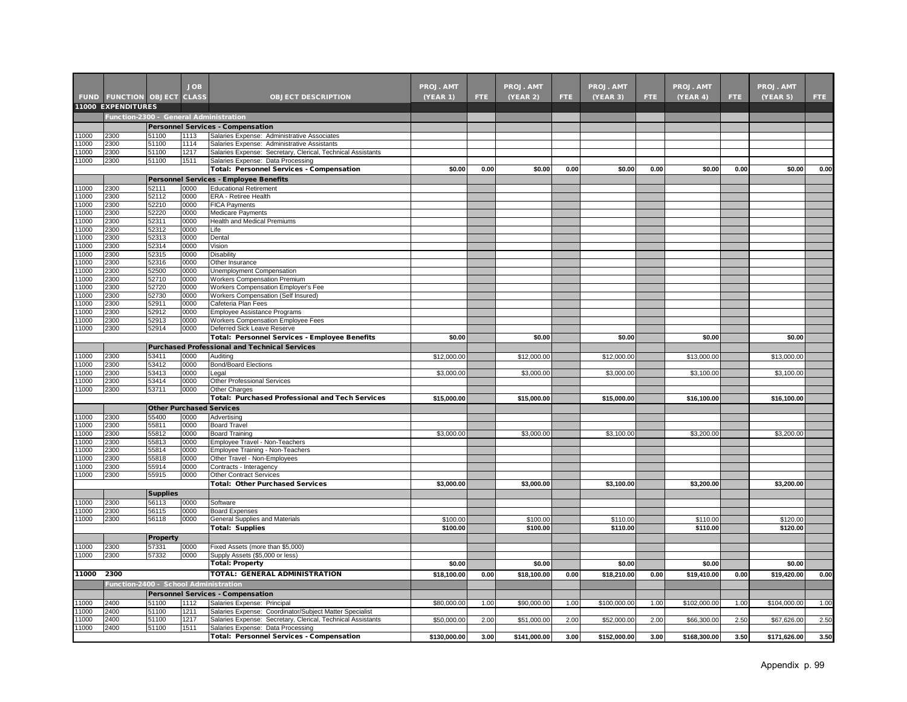|                |                                        |                                 | <b>JOB</b>   |                                                                                                  | <b>PROJ. AMT</b> |      | <b>PROJ. AMT</b> |            | <b>PROJ. AMT</b> |      | PROJ. AMT    |      | <b>PROJ. AMT</b> |      |
|----------------|----------------------------------------|---------------------------------|--------------|--------------------------------------------------------------------------------------------------|------------------|------|------------------|------------|------------------|------|--------------|------|------------------|------|
|                |                                        |                                 |              | <b>OBJECT DESCRIPTION</b>                                                                        |                  | FTE. |                  | <b>FTE</b> |                  |      |              |      |                  |      |
|                | <b>FUND FUNCTION OBJECT CLASS</b>      |                                 |              |                                                                                                  | (YEAR 1)         |      | <b>(YEAR 2)</b>  |            | (YEAR 3)         | FTE. | (YEAR 4)     | FTE. | (YEAR 5)         | FTE. |
|                | 11000 EXPENDITURES                     |                                 |              |                                                                                                  |                  |      |                  |            |                  |      |              |      |                  |      |
|                | Function-2300 - General Administration |                                 |              |                                                                                                  |                  |      |                  |            |                  |      |              |      |                  |      |
|                |                                        |                                 |              | <b>Personnel Services - Compensation</b>                                                         |                  |      |                  |            |                  |      |              |      |                  |      |
| 1000           | 2300                                   | 51100                           | 1113         | Salaries Expense: Administrative Associates                                                      |                  |      |                  |            |                  |      |              |      |                  |      |
| 1000<br>11000  | 2300<br>2300                           | 51100<br>51100                  | 1114<br>1217 | Salaries Expense: Administrative Assistants                                                      |                  |      |                  |            |                  |      |              |      |                  |      |
| 1000           | 2300                                   | 51100                           | 1511         | Salaries Expense: Secretary, Clerical, Technical Assistants<br>Salaries Expense: Data Processing |                  |      |                  |            |                  |      |              |      |                  |      |
|                |                                        |                                 |              | Total: Personnel Services - Compensation                                                         | \$0.00           | 0.00 | \$0.00           | 0.00       | \$0.00           | 0.00 | \$0.00       | 0.00 | \$0.00           | 0.00 |
|                |                                        |                                 |              | Personnel Services - Employee Benefits                                                           |                  |      |                  |            |                  |      |              |      |                  |      |
| 11000          | 2300                                   | 52111                           | 0000         | <b>Educational Retirement</b>                                                                    |                  |      |                  |            |                  |      |              |      |                  |      |
| 1000           | 2300                                   | 52112                           | 0000         | ERA - Retiree Health                                                                             |                  |      |                  |            |                  |      |              |      |                  |      |
| 1000           | 2300                                   | 52210                           | 0000         | FICA Payments                                                                                    |                  |      |                  |            |                  |      |              |      |                  |      |
| 1000           | 2300                                   | 52220                           | 0000         | Medicare Payments                                                                                |                  |      |                  |            |                  |      |              |      |                  |      |
| 11000          | 2300                                   | 52311                           | 0000         | Health and Medical Premiums                                                                      |                  |      |                  |            |                  |      |              |      |                  |      |
| 1000           | 2300                                   | 52312                           | 0000         | Life                                                                                             |                  |      |                  |            |                  |      |              |      |                  |      |
| 1000           | 2300                                   | 52313                           | 0000         | Dental                                                                                           |                  |      |                  |            |                  |      |              |      |                  |      |
| 1000           | 2300                                   | 52314                           | 0000         | Vision                                                                                           |                  |      |                  |            |                  |      |              |      |                  |      |
| 1000           | 2300                                   | 52315                           | 0000         | Disability                                                                                       |                  |      |                  |            |                  |      |              |      |                  |      |
| 1000           | 2300                                   | 52316                           | 0000         | Other Insurance                                                                                  |                  |      |                  |            |                  |      |              |      |                  |      |
| 11000          | 2300                                   | 52500                           | 0000         | Unemployment Compensation                                                                        |                  |      |                  |            |                  |      |              |      |                  |      |
| 11000<br>11000 | 2300<br>2300                           | 52710<br>52720                  | 0000<br>0000 | <b>Workers Compensation Premium</b>                                                              |                  |      |                  |            |                  |      |              |      |                  |      |
| 11000          | 2300                                   | 52730                           | 0000         | Workers Compensation Employer's Fee<br>Workers Compensation (Self Insured)                       |                  |      |                  |            |                  |      |              |      |                  |      |
| 1000           | 2300                                   | 52911                           | 0000         | Cafeteria Plan Fees                                                                              |                  |      |                  |            |                  |      |              |      |                  |      |
| 11000          | 2300                                   | 52912                           | 0000         | Employee Assistance Programs                                                                     |                  |      |                  |            |                  |      |              |      |                  |      |
| 1000           | 2300                                   | 52913                           | 0000         | Workers Compensation Employee Fees                                                               |                  |      |                  |            |                  |      |              |      |                  |      |
| 1000           | 2300                                   | 52914                           | 0000         | Deferred Sick Leave Reserve                                                                      |                  |      |                  |            |                  |      |              |      |                  |      |
|                |                                        |                                 |              | Total: Personnel Services - Employee Benefits                                                    | \$0.00           |      | \$0.00           |            | \$0.00           |      | \$0.00       |      | \$0.00           |      |
|                |                                        |                                 |              | <b>Purchased Professional and Technical Services</b>                                             |                  |      |                  |            |                  |      |              |      |                  |      |
| 11000          | 2300                                   | 53411                           | 0000         | Auditing                                                                                         | \$12,000.00      |      | \$12,000.00      |            | \$12,000.00      |      | \$13,000.00  |      | \$13,000.00      |      |
| 1000           | 2300                                   | 53412                           | 0000         | <b>Bond/Board Elections</b>                                                                      |                  |      |                  |            |                  |      |              |      |                  |      |
| 1000           | 2300                                   | 53413                           | 0000         | Legal                                                                                            | \$3,000.00       |      | \$3,000.00       |            | \$3,000.00       |      | \$3,100.00   |      | \$3,100.00       |      |
| 1000           | 2300                                   | 53414                           | 0000         | Other Professional Services                                                                      |                  |      |                  |            |                  |      |              |      |                  |      |
| 1000           | 2300                                   | 53711                           | 0000         | Other Charges                                                                                    |                  |      |                  |            |                  |      |              |      |                  |      |
|                |                                        |                                 |              | <b>Total: Purchased Professional and Tech Services</b>                                           | \$15,000.00      |      | \$15,000.00      |            | \$15,000.00      |      | \$16,100.00  |      | \$16,100.00      |      |
|                |                                        | <b>Other Purchased Services</b> |              |                                                                                                  |                  |      |                  |            |                  |      |              |      |                  |      |
| 11000          | 2300                                   | 55400                           | 0000         | Advertising                                                                                      |                  |      |                  |            |                  |      |              |      |                  |      |
| 11000          | 2300                                   | 55811                           | 0000         | <b>Board Travel</b>                                                                              |                  |      |                  |            |                  |      |              |      |                  |      |
| 1000           | 2300                                   | 55812                           | 0000         | <b>Board Training</b>                                                                            | \$3,000.00       |      | \$3,000.00       |            | \$3,100.00       |      | \$3,200.00   |      | \$3,200.00       |      |
| 11000          | 2300                                   | 55813                           | 0000         | Employee Travel - Non-Teachers                                                                   |                  |      |                  |            |                  |      |              |      |                  |      |
| 1000           | 2300                                   | 55814                           | 0000         | Employee Training - Non-Teachers                                                                 |                  |      |                  |            |                  |      |              |      |                  |      |
| 1000<br>11000  | 2300<br>2300                           | 55818<br>55914                  | 0000<br>0000 | Other Travel - Non-Employees<br>Contracts - Interagency                                          |                  |      |                  |            |                  |      |              |      |                  |      |
| 11000          | 2300                                   | 55915                           | 0000         | <b>Other Contract Services</b>                                                                   |                  |      |                  |            |                  |      |              |      |                  |      |
|                |                                        |                                 |              | <b>Total: Other Purchased Services</b>                                                           | \$3,000.00       |      | \$3,000.00       |            | \$3,100.00       |      | \$3,200.00   |      | \$3,200.00       |      |
|                |                                        |                                 |              |                                                                                                  |                  |      |                  |            |                  |      |              |      |                  |      |
| 1000           | 2300                                   | <b>Supplies</b><br>56113        | 0000         | Software                                                                                         |                  |      |                  |            |                  |      |              |      |                  |      |
| 11000          | 2300                                   | 56115                           | 0000         | <b>Board Expenses</b>                                                                            |                  |      |                  |            |                  |      |              |      |                  |      |
| 1000           | 2300                                   | 56118                           | 0000         | General Supplies and Materials                                                                   | \$100.00         |      | \$100.00         |            | \$110.00         |      | \$110.00     |      | \$120.00         |      |
|                |                                        |                                 |              | <b>Total: Supplies</b>                                                                           | \$100.00         |      | \$100.00         |            | \$110.00         |      | \$110.00     |      | \$120.00         |      |
|                |                                        | Property                        |              |                                                                                                  |                  |      |                  |            |                  |      |              |      |                  |      |
| 1000           | 2300                                   | 57331                           | 0000         |                                                                                                  |                  |      |                  |            |                  |      |              |      |                  |      |
| 1000           | 2300                                   | 57332                           | 0000         | Fixed Assets (more than \$5,000)<br>Supply Assets (\$5,000 or less)                              |                  |      |                  |            |                  |      |              |      |                  |      |
|                |                                        |                                 |              | <b>Total: Property</b>                                                                           | \$0.00           |      | \$0.00           |            | \$0.00           |      | \$0.00       |      | \$0.00           |      |
|                |                                        |                                 |              | TOTAL: GENERAL ADMINISTRATION                                                                    |                  |      |                  |            |                  |      |              |      |                  |      |
| 11000          | 2300                                   |                                 |              |                                                                                                  | \$18,100.00      | 0.00 | \$18,100.00      | 0.00       | \$18,210.00      | 0.00 | \$19,410.00  | 0.00 | \$19,420.00      | 0.00 |
|                | Function-2400 - School Administration  |                                 |              |                                                                                                  |                  |      |                  |            |                  |      |              |      |                  |      |
|                |                                        |                                 |              | <b>Personnel Services - Compensation</b>                                                         |                  |      |                  |            |                  |      |              |      |                  |      |
| 11000          | 2400                                   | 51100                           | 1112         | Salaries Expense: Principal                                                                      | \$80,000.00      | 1.00 | \$90,000.00      | 1.00       | \$100,000.00     | 1.00 | \$102,000.00 | 1.00 | \$104,000.00     | 1.00 |
| 1000           | 2400                                   | 51100                           | 1211         | Salaries Expense: Coordinator/Subject Matter Specialist                                          |                  |      |                  |            |                  |      |              |      |                  |      |
| 1000           | 2400<br>2400                           | 51100<br>51100                  | 1217         | Salaries Expense: Secretary, Clerical, Technical Assistants                                      | \$50,000.00      | 2.00 | \$51,000.00      | 2.00       | \$52,000.00      | 2.00 | \$66,300.00  | 2.50 | \$67,626.00      | 2.50 |
| 1000           |                                        |                                 | 1511         | Salaries Expense: Data Processing                                                                |                  |      |                  |            |                  |      |              |      |                  | 3.50 |
|                |                                        |                                 |              | Total: Personnel Services - Compensation                                                         | \$130,000.00     | 3.00 | \$141,000.00     | 3.00       | \$152,000.00     | 3.00 | \$168,300.00 | 3.50 | \$171,626.00     |      |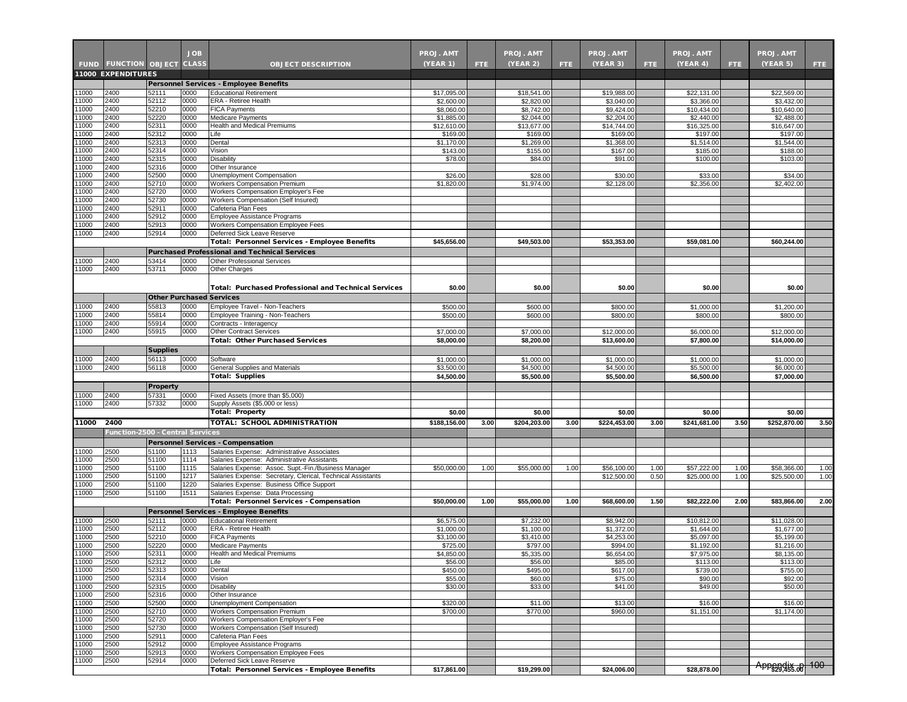|                |                                                                |                          | <b>JOB</b>   |                                                                                                          | <b>PROJ. AMT</b>          |      | <b>PROJ. AMT</b>          |      | <b>PROJ. AMT</b>           |              | PROJ. AMT                  |              | <b>PROJ. AMT</b>           |              |
|----------------|----------------------------------------------------------------|--------------------------|--------------|----------------------------------------------------------------------------------------------------------|---------------------------|------|---------------------------|------|----------------------------|--------------|----------------------------|--------------|----------------------------|--------------|
|                | <b>FUND FUNCTION OBJECT CLASS</b><br><b>11000 EXPENDITURES</b> |                          |              | <b>OBJECT DESCRIPTION</b>                                                                                | <b>(YEAR 1)</b>           | FTE. | (YEAR 2)                  | FTE. | (YEAR 3)                   | FTE.         | (YEAR 4)                   | FTE.         | (YEAR 5)                   | FTE.         |
|                |                                                                |                          |              | Personnel Services - Employee Benefits                                                                   |                           |      |                           |      |                            |              |                            |              |                            |              |
| 11000          | 2400                                                           | 52111                    | 0000         | <b>Educational Retirement</b>                                                                            | \$17,095.00               |      | \$18,541.00               |      | \$19,988.00                |              | \$22,131.00                |              | \$22,569.00                |              |
| 11000          | 2400                                                           | 52112                    | 0000         | ERA - Retiree Health                                                                                     | \$2,600.00                |      | \$2,820.00                |      | \$3,040.00                 |              | \$3,366.00                 |              | \$3,432.00                 |              |
| 11000          | 2400                                                           | 52210                    | 0000         | <b>FICA Payments</b>                                                                                     | \$8,060.00                |      | \$8,742.00                |      | \$9,424.00                 |              | \$10,434.00                |              | \$10,640.00                |              |
| 11000<br>11000 | 2400<br>2400                                                   | 52220<br>52311           | 0000<br>0000 | <b>Medicare Payments</b><br><b>Health and Medical Premiums</b>                                           | \$1,885.00<br>\$12,610.00 |      | \$2,044.00<br>\$13,677.00 |      | \$2,204.00<br>\$14,744.00  |              | \$2,440.00<br>\$16,325.00  |              | \$2,488.00<br>\$16,647.00  |              |
| 11000          | 2400                                                           | 52312                    | 0000         | Life                                                                                                     | \$169.00                  |      | \$169.00                  |      | \$169.00                   |              | \$197.00                   |              | \$197.00                   |              |
| 11000          | 2400                                                           | 52313                    | 0000         | Dental                                                                                                   | \$1,170.00                |      | \$1,269.00                |      | \$1,368.00                 |              | \$1,514.00                 |              | \$1,544.00                 |              |
| 11000          | 2400                                                           | 52314                    | 0000         | Vision                                                                                                   | \$143.00                  |      | \$155.00                  |      | \$167.00                   |              | \$185.00                   |              | \$188.00                   |              |
| 11000          | 2400                                                           | 52315                    | 0000         | Disability                                                                                               | \$78.00                   |      | \$84.00                   |      | \$91.00                    |              | \$100.00                   |              | \$103.00                   |              |
| 1000<br>11000  | 2400<br>2400                                                   | 52316<br>52500           | 0000<br>0000 | Other Insurance<br>Unemployment Compensation                                                             | \$26.00                   |      | \$28.00                   |      | \$30.00                    |              | \$33.00                    |              | \$34.00                    |              |
| 11000          | 2400                                                           | 52710                    | 0000         | Workers Compensation Premium                                                                             | \$1,820.00                |      | \$1,974.00                |      | \$2,128.00                 |              | \$2,356.00                 |              | \$2,402.00                 |              |
| 11000          | 2400                                                           | 52720                    | 0000         | Workers Compensation Employer's Fee                                                                      |                           |      |                           |      |                            |              |                            |              |                            |              |
| 11000          | 2400                                                           | 52730                    | 0000         | Workers Compensation (Self Insured)                                                                      |                           |      |                           |      |                            |              |                            |              |                            |              |
| 11000          | 2400                                                           | 52911                    | 0000         | Cafeteria Plan Fees                                                                                      |                           |      |                           |      |                            |              |                            |              |                            |              |
| 1000<br>11000  | 2400<br>2400                                                   | 52912<br>52913           | 0000<br>0000 | Employee Assistance Programs<br>Workers Compensation Employee Fees                                       |                           |      |                           |      |                            |              |                            |              |                            |              |
| 11000          | 2400                                                           | 52914                    | 0000         | Deferred Sick Leave Reserve                                                                              |                           |      |                           |      |                            |              |                            |              |                            |              |
|                |                                                                |                          |              | Total: Personnel Services - Employee Benefits                                                            | \$45,656.00               |      | \$49,503.00               |      | \$53,353.00                |              | \$59,081.00                |              | \$60,244.00                |              |
|                |                                                                |                          |              | <b>Purchased Professional and Technical Services</b>                                                     |                           |      |                           |      |                            |              |                            |              |                            |              |
| 11000          | 2400                                                           | 53414                    | 0000         | Other Professional Services                                                                              |                           |      |                           |      |                            |              |                            |              |                            |              |
| 11000          | 2400                                                           | 53711                    | 0000         | Other Charges                                                                                            |                           |      |                           |      |                            |              |                            |              |                            |              |
|                |                                                                |                          |              |                                                                                                          |                           |      |                           |      |                            |              |                            |              |                            |              |
|                |                                                                |                          |              | <b>Total: Purchased Professional and Technical Services</b>                                              | \$0.00                    |      | \$0.00                    |      | \$0.00                     |              | \$0.00                     |              | \$0.00                     |              |
|                |                                                                |                          |              | <b>Other Purchased Services</b>                                                                          |                           |      |                           |      |                            |              |                            |              |                            |              |
| 11000<br>11000 | 2400<br>2400                                                   | 55813<br>55814           | 0000<br>0000 | Employee Travel - Non-Teachers<br>Employee Training - Non-Teachers                                       | \$500.00<br>\$500.00      |      | \$600.00<br>\$600.00      |      | \$800.00<br>\$800.00       |              | \$1,000.00<br>\$800.00     |              | \$1,200.00<br>\$800.00     |              |
| 11000          | 2400                                                           | 55914                    | 0000         | Contracts - Interagency                                                                                  |                           |      |                           |      |                            |              |                            |              |                            |              |
| 1000           | 2400                                                           | 55915                    | 0000         | <b>Other Contract Services</b>                                                                           | \$7,000.00                |      | \$7,000.00                |      | \$12,000.00                |              | \$6,000.00                 |              | \$12,000.00                |              |
|                |                                                                |                          |              | <b>Total: Other Purchased Services</b>                                                                   | \$8,000.00                |      | \$8,200.00                |      | \$13,600.00                |              | \$7,800.00                 |              | \$14,000.00                |              |
|                |                                                                | <b>Supplies</b>          |              |                                                                                                          |                           |      |                           |      |                            |              |                            |              |                            |              |
| 11000          | 2400                                                           | 56113                    | 0000         | Software                                                                                                 | \$1,000.00                |      | \$1,000.00                |      | \$1,000.00                 |              | \$1,000.00                 |              | \$1,000.00                 |              |
| 11000          | 2400                                                           | 56118                    | 0000         | General Supplies and Materials                                                                           | \$3,500.00                |      | \$4,500.00                |      | \$4,500.00                 |              | \$5,500.00                 |              | \$6,000.00                 |              |
|                |                                                                |                          |              | <b>Total: Supplies</b>                                                                                   | \$4,500.00                |      | \$5,500.00                |      | \$5,500.00                 |              | \$6,500.00                 |              | \$7,000.00                 |              |
| 11000          | 2400                                                           | <b>Property</b><br>57331 | 0000         | Fixed Assets (more than \$5,000)                                                                         |                           |      |                           |      |                            |              |                            |              |                            |              |
| 1000           | 2400                                                           | 57332                    | 0000         | Supply Assets (\$5,000 or less)                                                                          |                           |      |                           |      |                            |              |                            |              |                            |              |
|                |                                                                |                          |              | <b>Total: Property</b>                                                                                   | \$0.00                    |      | \$0.00                    |      | \$0.00                     |              | \$0.00                     |              | \$0.00                     |              |
| 11000          | 2400                                                           |                          |              | <b>TOTAL: SCHOOL ADMINISTRATION</b>                                                                      | \$188,156.00              | 3.00 | \$204,203.00              | 3.00 | \$224,453.00               | 3.00         | \$241,681.00               | 3.50         | \$252,870.00               | 3.50         |
|                | Function-2500 - Central Services                               |                          |              |                                                                                                          |                           |      |                           |      |                            |              |                            |              |                            |              |
|                |                                                                |                          |              | <b>Personnel Services - Compensation</b>                                                                 |                           |      |                           |      |                            |              |                            |              |                            |              |
| 11000          | 2500                                                           | 51100                    | 1113         | Salaries Expense: Administrative Associates                                                              |                           |      |                           |      |                            |              |                            |              |                            |              |
| 11000          | 2500                                                           | 51100                    | 1114         | Salaries Expense: Administrative Assistants                                                              |                           |      |                           |      |                            |              |                            |              |                            |              |
| 11000<br>1000  | 2500<br>2500                                                   | 51100<br>51100           | 1115<br>1217 | Salaries Expense: Assoc. Supt.-Fin./Business Manager                                                     | \$50,000.00               | 1.00 | \$55,000.00               | 1.00 | \$56,100.00<br>\$12,500.00 | 1.00<br>0.50 | \$57,222.00<br>\$25,000.00 | 1.00<br>1.00 | \$58,366.00<br>\$25,500.00 | 1.00<br>1.00 |
| 11000          | 2500                                                           | 51100                    | 1220         | Salaries Expense: Secretary, Clerical, Technical Assistants<br>Salaries Expense: Business Office Support |                           |      |                           |      |                            |              |                            |              |                            |              |
| 11000          | 2500                                                           | 51100                    | 1511         | Salaries Expense: Data Processing                                                                        |                           |      |                           |      |                            |              |                            |              |                            |              |
|                |                                                                |                          |              | <b>Total: Personnel Services - Compensation</b>                                                          | \$50,000.00               | 1.00 | \$55,000.00               | 1.00 | \$68,600.00                | 1.50         | \$82,222.00                | 2.00         | \$83,866.00                | 2.00         |
|                |                                                                |                          |              | Personnel Services - Employee Benefits                                                                   |                           |      |                           |      |                            |              |                            |              |                            |              |
| 11000          | 2500                                                           | 52111                    | 0000         | <b>Educational Retirement</b>                                                                            | \$6,575.00                |      | \$7,232.00                |      | \$8,942.00                 |              | \$10,812.00                |              | \$11,028.00                |              |
| 11000          | 2500                                                           | 52112                    | 0000         | ERA - Retiree Health                                                                                     | \$1,000.00                |      | \$1,100.00                |      | \$1,372.00                 |              | \$1,644.00                 |              | \$1,677.00                 |              |
| 11000<br>11000 | 2500<br>2500                                                   | 52210<br>52220           | 0000<br>0000 | <b>FICA Payments</b><br>Medicare Payments                                                                | \$3,100.00<br>\$725.00    |      | \$3,410.00<br>\$797.00    |      | \$4,253.00<br>\$994.00     |              | \$5,097.00<br>\$1,192.00   |              | \$5,199.00<br>\$1,216.00   |              |
| 11000          | 2500                                                           | 52311                    | 0000         | Health and Medical Premiums                                                                              | \$4,850.00                |      | \$5,335.00                |      | \$6,654.00                 |              | \$7,975.00                 |              | \$8,135.00                 |              |
| 11000          | 2500                                                           | 52312                    | 0000         | Life                                                                                                     | \$56.00                   |      | \$56.00                   |      | \$85.00                    |              | \$113.00                   |              | \$113.00                   |              |
| 11000          | 2500                                                           | 52313                    | 0000         | Dental                                                                                                   | \$450.00                  |      | \$495.00                  |      | \$617.00                   |              | \$739.00                   |              | \$755.00                   |              |
| 11000          | 2500                                                           | 52314                    | 0000         | Vision                                                                                                   | \$55.00                   |      | \$60.00                   |      | \$75.00                    |              | \$90.00                    |              | \$92.00                    |              |
| 11000<br>11000 | 2500<br>2500                                                   | 52315<br>52316           | 0000<br>0000 | Disability<br>Other Insurance                                                                            | \$30.00                   |      | \$33.00                   |      | \$41.00                    |              | \$49.00                    |              | \$50.00                    |              |
| 11000          | 2500                                                           | 52500                    | 0000         | Unemployment Compensation                                                                                | \$320.00                  |      | \$11.00                   |      | \$13.00                    |              | \$16.00                    |              | \$16.00                    |              |
| 11000          | 2500                                                           | 52710                    | 0000         | <b>Workers Compensation Premium</b>                                                                      | \$700.00                  |      | \$770.00                  |      | \$960.00                   |              | \$1,151.00                 |              | \$1,174.00                 |              |
| 11000          | 2500                                                           | 52720                    | 0000         | Workers Compensation Employer's Fee                                                                      |                           |      |                           |      |                            |              |                            |              |                            |              |
| 11000          | 2500                                                           | 52730                    | 0000         | Workers Compensation (Self Insured)                                                                      |                           |      |                           |      |                            |              |                            |              |                            |              |
| 11000          | 2500                                                           | 52911                    | 0000         | Cafeteria Plan Fees                                                                                      |                           |      |                           |      |                            |              |                            |              |                            |              |
| 11000<br>11000 | 2500<br>2500                                                   | 52912<br>52913           | 0000<br>0000 | <b>Employee Assistance Programs</b><br>Workers Compensation Employee Fees                                |                           |      |                           |      |                            |              |                            |              |                            |              |
| 11000          | 2500                                                           | 52914                    | 0000         | Deferred Sick Leave Reserve                                                                              |                           |      |                           |      |                            |              |                            |              |                            |              |
|                |                                                                |                          |              | Total: Personnel Services - Employee Benefits                                                            | \$17,861.00               |      | \$19,299.00               |      | \$24,006.00                |              | \$28,878.00                |              | Appendix 8 100             |              |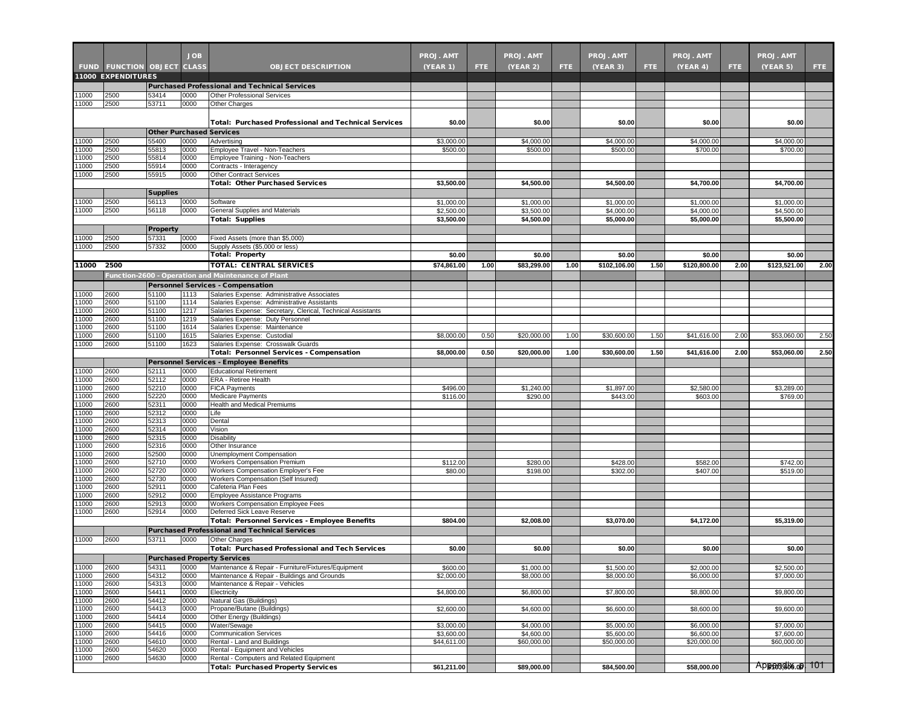|                |                                   |                 | <b>JOB</b>   |                                                                                                     | <b>PROJ. AMT</b>         |      | <b>PROJ. AMT</b>         |                  | <b>PROJ. AMT</b>         |      | PROJ. AMT                |      | <b>PROJ. AMT</b>         |      |
|----------------|-----------------------------------|-----------------|--------------|-----------------------------------------------------------------------------------------------------|--------------------------|------|--------------------------|------------------|--------------------------|------|--------------------------|------|--------------------------|------|
|                | <b>FUND FUNCTION OBJECT CLASS</b> |                 |              | <b>OBJECT DESCRIPTION</b>                                                                           | <b>(YEAR 1)</b>          | FTE. | (YEAR 2)                 | FTE <sup>1</sup> | (YEAR 3)                 | FTE. | (YEAR 4)                 | FTE. | (YEAR 5)                 | FTE. |
|                | <b>11000 EXPENDITURES</b>         |                 |              |                                                                                                     |                          |      |                          |                  |                          |      |                          |      |                          |      |
|                |                                   |                 |              | <b>Purchased Professional and Technical Services</b>                                                |                          |      |                          |                  |                          |      |                          |      |                          |      |
| 11000          | 2500                              | 53414           | 0000         | Other Professional Services                                                                         |                          |      |                          |                  |                          |      |                          |      |                          |      |
| 11000          | 2500                              | 53711           | 0000         | Other Charges                                                                                       |                          |      |                          |                  |                          |      |                          |      |                          |      |
|                |                                   |                 |              |                                                                                                     |                          |      |                          |                  |                          |      |                          |      |                          |      |
|                |                                   |                 |              | Total: Purchased Professional and Technical Services                                                | \$0.00                   |      | \$0.00                   |                  | \$0.00                   |      | \$0.00                   |      | \$0.00                   |      |
|                |                                   |                 |              | <b>Other Purchased Services</b>                                                                     |                          |      |                          |                  |                          |      |                          |      |                          |      |
| 11000          | 2500                              | 55400           | 0000         | Advertising                                                                                         | \$3,000.00               |      | \$4,000.00               |                  | \$4,000.00               |      | \$4,000.00               |      | \$4,000.00               |      |
| 11000          | 2500                              | 55813           | 0000         | Employee Travel - Non-Teachers                                                                      | \$500.00                 |      | \$500.00                 |                  | \$500.00                 |      | \$700.00                 |      | \$700.00                 |      |
| 11000<br>11000 | 2500<br>2500                      | 55814<br>55914  | 0000<br>0000 | Employee Training - Non-Teachers<br>Contracts - Interagency                                         |                          |      |                          |                  |                          |      |                          |      |                          |      |
| 11000          | 2500                              | 55915           | 0000         | <b>Other Contract Services</b>                                                                      |                          |      |                          |                  |                          |      |                          |      |                          |      |
|                |                                   |                 |              | <b>Total: Other Purchased Services</b>                                                              | \$3,500.00               |      | \$4,500.00               |                  | \$4,500.00               |      | \$4,700.00               |      | \$4,700.00               |      |
|                |                                   | <b>Supplies</b> |              |                                                                                                     |                          |      |                          |                  |                          |      |                          |      |                          |      |
| 11000          | 2500                              | 56113           | 0000         | Software                                                                                            | \$1,000.00               |      | \$1,000.00               |                  | \$1,000.00               |      | \$1,000.00               |      | \$1,000.00               |      |
| 11000          | 2500                              | 56118           | 0000         | General Supplies and Materials                                                                      | \$2,500.00               |      | \$3,500.00               |                  | \$4,000.00               |      | \$4,000.00               |      | \$4,500.00               |      |
|                |                                   |                 |              | <b>Total: Supplies</b>                                                                              | \$3,500.00               |      | \$4,500.00               |                  | \$5,000.00               |      | \$5,000.00               |      | \$5,500.00               |      |
|                |                                   | Property        |              |                                                                                                     |                          |      |                          |                  |                          |      |                          |      |                          |      |
| 11000<br>11000 | 2500<br>2500                      | 57331<br>57332  | 0000<br>0000 | Fixed Assets (more than \$5,000)<br>Supply Assets (\$5,000 or less)                                 |                          |      |                          |                  |                          |      |                          |      |                          |      |
|                |                                   |                 |              | <b>Total: Property</b>                                                                              | \$0.00                   |      | \$0.00                   |                  | \$0.00                   |      | \$0.00                   |      | \$0.00                   |      |
| 11000          | 2500                              |                 |              | <b>TOTAL: CENTRAL SERVICES</b>                                                                      | \$74,861.00              | 1.00 | \$83,299.00              | 1.00             | \$102,106.00             | 1.50 | \$120,800.00             | 2.00 | \$123,521.00             | 2.00 |
|                |                                   |                 |              | Function-2600 - Operation and Maintenance of Plant                                                  |                          |      |                          |                  |                          |      |                          |      |                          |      |
|                |                                   |                 |              | Personnel Services - Compensation                                                                   |                          |      |                          |                  |                          |      |                          |      |                          |      |
| 11000          | 2600                              | 51100           | 1113         | Salaries Expense: Administrative Associates                                                         |                          |      |                          |                  |                          |      |                          |      |                          |      |
| 11000          | 2600                              | 51100           | 1114         | Salaries Expense: Administrative Assistants                                                         |                          |      |                          |                  |                          |      |                          |      |                          |      |
| 11000          | 2600                              | 51100           | 1217         | Salaries Expense: Secretary, Clerical, Technical Assistants                                         |                          |      |                          |                  |                          |      |                          |      |                          |      |
| 11000          | 2600<br>2600                      | 51100           | 1219         | Salaries Expense: Duty Personnel                                                                    |                          |      |                          |                  |                          |      |                          |      |                          |      |
| 11000<br>11000 | 2600                              | 51100<br>51100  | 1614<br>1615 | Salaries Expense: Maintenance<br>Salaries Expense: Custodial                                        | \$8,000.00               | 0.50 | \$20,000.00              | 1.00             | \$30,600.00              | 1.50 | \$41,616.00              | 2.00 | \$53,060.00              | 2.50 |
| 11000          | 2600                              | 51100           | 1623         | Salaries Expense: Crosswalk Guards                                                                  |                          |      |                          |                  |                          |      |                          |      |                          |      |
|                |                                   |                 |              | Total: Personnel Services - Compensation                                                            | \$8,000.00               | 0.50 | \$20,000.00              | 1.00             | \$30,600.00              | 1.50 | \$41,616.00              | 2.00 | \$53,060.00              | 2.50 |
|                |                                   |                 |              | Personnel Services - Employee Benefits                                                              |                          |      |                          |                  |                          |      |                          |      |                          |      |
| 11000          | 2600                              | 52111           | 0000         | <b>Educational Retirement</b>                                                                       |                          |      |                          |                  |                          |      |                          |      |                          |      |
| 11000          | 2600                              | 52112           | 0000         | ERA - Retiree Health                                                                                |                          |      |                          |                  |                          |      |                          |      |                          |      |
| 11000<br>11000 | 2600<br>2600                      | 52210<br>52220  | 0000<br>0000 | <b>FICA Payments</b><br><b>Medicare Payments</b>                                                    | \$496.00<br>\$116.00     |      | \$1,240.00<br>\$290.00   |                  | \$1,897.00<br>\$443.00   |      | \$2,580.00<br>\$603.00   |      | \$3,289.00<br>\$769.00   |      |
| 11000          | 2600                              | 52311           | 0000         | <b>Health and Medical Premiums</b>                                                                  |                          |      |                          |                  |                          |      |                          |      |                          |      |
| 11000          | 2600                              | 52312           | 0000         | Life                                                                                                |                          |      |                          |                  |                          |      |                          |      |                          |      |
| 11000          | 2600                              | 52313           | 0000         | Dental                                                                                              |                          |      |                          |                  |                          |      |                          |      |                          |      |
| 11000          | 2600                              | 52314           | 0000         | Vision                                                                                              |                          |      |                          |                  |                          |      |                          |      |                          |      |
| 11000<br>11000 | 2600<br>2600                      | 52315<br>52316  | 0000<br>0000 | Disability<br>Other Insurance                                                                       |                          |      |                          |                  |                          |      |                          |      |                          |      |
| 11000          | 2600                              | 52500           | 0000         | Unemployment Compensation                                                                           |                          |      |                          |                  |                          |      |                          |      |                          |      |
| 11000          | 2600                              | 52710           | 0000         | Workers Compensation Premium                                                                        | \$112.00                 |      | \$280.00                 |                  | \$428.00                 |      | \$582.00                 |      | \$742.00                 |      |
| 11000          | 2600                              | 52720           | 0000         | Workers Compensation Employer's Fee                                                                 | \$80.00                  |      | \$198.00                 |                  | \$302.00                 |      | \$407.00                 |      | \$519.00                 |      |
| 11000          | 2600                              | 52730           | 0000         | Workers Compensation (Self Insured)                                                                 |                          |      |                          |                  |                          |      |                          |      |                          |      |
| 11000<br>11000 | 2600<br>2600                      | 52911<br>52912  | 0000<br>0000 | Cafeteria Plan Fees<br>Employee Assistance Programs                                                 |                          |      |                          |                  |                          |      |                          |      |                          |      |
| 11000          | 2600                              | 52913           | 0000         | Workers Compensation Employee Fees                                                                  |                          |      |                          |                  |                          |      |                          |      |                          |      |
| 11000          | 2600                              | 52914           | 0000         | Deferred Sick Leave Reserve                                                                         |                          |      |                          |                  |                          |      |                          |      |                          |      |
|                |                                   |                 |              | Total: Personnel Services - Employee Benefits                                                       | \$804.00                 |      | \$2,008.00               |                  | \$3,070.00               |      | \$4,172.00               |      | \$5,319.00               |      |
|                |                                   |                 |              | <b>Purchased Professional and Technical Services</b>                                                |                          |      |                          |                  |                          |      |                          |      |                          |      |
| 11000          | 2600                              | 53711           | 0000         | Other Charges                                                                                       |                          |      |                          |                  |                          |      |                          |      |                          |      |
|                |                                   |                 |              | <b>Total: Purchased Professional and Tech Services</b>                                              | \$0.00                   |      | \$0.00                   |                  | \$0.00                   |      | \$0.00                   |      | \$0.00                   |      |
|                |                                   |                 |              | Purchased Property Services                                                                         |                          |      |                          |                  |                          |      |                          |      |                          |      |
| 11000          | 2600                              | 54311           | 0000         | Maintenance & Repair - Furniture/Fixtures/Equipment<br>Maintenance & Repair - Buildings and Grounds | \$600.00                 |      | \$1,000.00               |                  | \$1,500.00               |      | \$2,000.00               |      | \$2,500.00               |      |
| 11000<br>11000 | 2600<br>2600                      | 54312<br>54313  | 0000<br>0000 | Maintenance & Repair - Vehicles                                                                     | \$2,000.00               |      | \$8,000.00               |                  | \$8,000.00               |      | \$6,000.00               |      | \$7,000.00               |      |
| 11000          | 2600                              | 54411           | 0000         | Electricity                                                                                         | \$4,800.00               |      | \$6,800.00               |                  | \$7,800.00               |      | \$8,800.00               |      | \$9,800.00               |      |
| 11000          | 2600                              | 54412           | 0000         | Natural Gas (Buildings)                                                                             |                          |      |                          |                  |                          |      |                          |      |                          |      |
| 11000          | 2600                              | 54413           | 0000         | Propane/Butane (Buildings)                                                                          | \$2,600.00               |      | \$4,600.00               |                  | \$6,600.00               |      | \$8,600.00               |      | \$9,600.00               |      |
| 11000          | 2600                              | 54414           | 0000         | Other Energy (Buildings)                                                                            |                          |      |                          |                  |                          |      |                          |      |                          |      |
| 11000<br>11000 | 2600<br>2600                      | 54415<br>54416  | 0000<br>0000 | Water/Sewage<br><b>Communication Services</b>                                                       | \$3,000.00<br>\$3,600.00 |      | \$4,000.00<br>\$4,600.00 |                  | \$5,000.00<br>\$5,600.00 |      | \$6,000.00<br>\$6,600.00 |      | \$7,000.00<br>\$7,600.00 |      |
| 11000          | 2600                              | 54610           | 0000         | Rental - Land and Buildings                                                                         | \$44,611.00              |      | \$60,000.00              |                  | \$50,000.00              |      | \$20,000.00              |      | \$60,000.00              |      |
| 11000          | 2600                              | 54620           | 0000         | Rental - Equipment and Vehicles                                                                     |                          |      |                          |                  |                          |      |                          |      |                          |      |
| 11000          | 2600                              | 54630           | 0000         | Rental - Computers and Related Equipment                                                            |                          |      |                          |                  |                          |      |                          |      |                          |      |
|                |                                   |                 |              | <b>Total: Purchased Property Services</b>                                                           | \$61,211.00              |      | \$89,000.00              |                  | \$84,500.00              |      | \$58,000.00              |      | Appagao op 101           |      |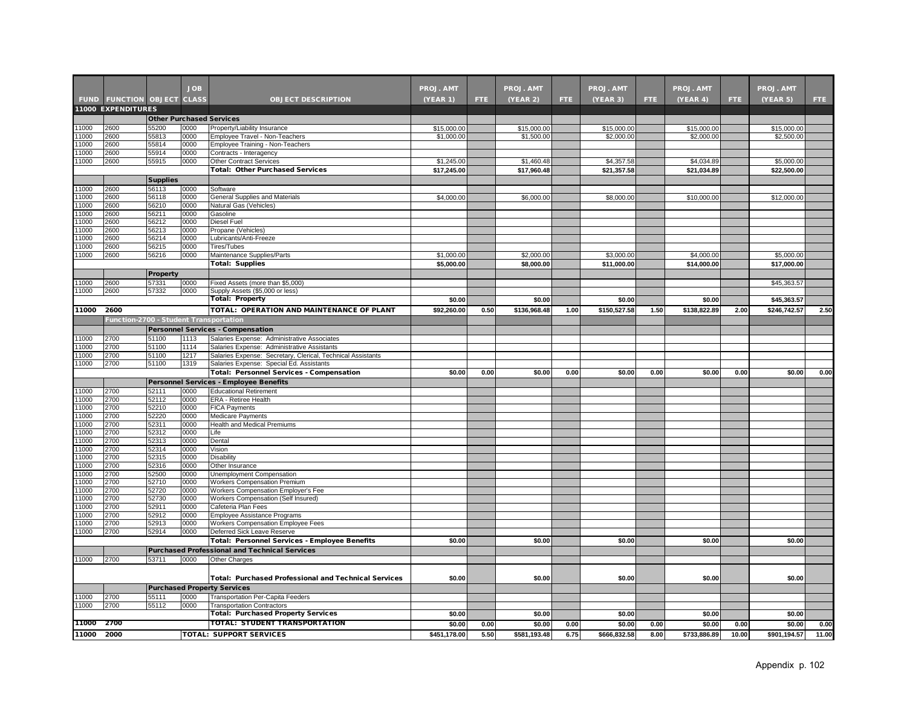|                |                                        |                                 | <b>JOB</b>   |                                                                                                         | <b>PROJ. AMT</b>          |      | <b>PROJ. AMT</b>          |      | <b>PROJ. AMT</b>          |      | <b>PROJ. AMT</b>          |       | <b>PROJ. AMT</b>          |       |
|----------------|----------------------------------------|---------------------------------|--------------|---------------------------------------------------------------------------------------------------------|---------------------------|------|---------------------------|------|---------------------------|------|---------------------------|-------|---------------------------|-------|
|                | <b>FUND FUNCTION OBJECT CLASS</b>      |                                 |              | <b>OBJECT DESCRIPTION</b>                                                                               | (YEAR 1)                  | FTE: | (YEAR 2)                  | FTE. | (YEAR 3)                  | FTE. | (YEAR 4)                  | FTE.  | (YEAR 5)                  | FTE.  |
|                | <b>11000 EXPENDITURES</b>              |                                 |              |                                                                                                         |                           |      |                           |      |                           |      |                           |       |                           |       |
|                |                                        | <b>Other Purchased Services</b> |              |                                                                                                         |                           |      |                           |      |                           |      |                           |       |                           |       |
| 11000          | 2600                                   | 55200                           | 0000         | Property/Liability Insurance                                                                            | \$15,000.00               |      | \$15,000.00               |      | \$15,000.00               |      | \$15,000.00               |       | \$15,000.00               |       |
| 11000          | 2600                                   | 55813                           | 0000         | Employee Travel - Non-Teachers                                                                          | \$1,000.00                |      | \$1,500.00                |      | \$2,000.00                |      | \$2,000.00                |       | \$2,500.00                |       |
| 11000          | 2600                                   | 55814                           | 0000         | Employee Training - Non-Teachers                                                                        |                           |      |                           |      |                           |      |                           |       |                           |       |
| 11000          | 2600                                   | 55914                           | 0000         | Contracts - Interagency                                                                                 |                           |      |                           |      |                           |      |                           |       |                           |       |
| 1000           | 2600                                   | 55915                           | 0000         | <b>Other Contract Services</b><br><b>Total: Other Purchased Services</b>                                | \$1,245.00<br>\$17,245.00 |      | \$1,460.48<br>\$17,960.48 |      | \$4,357.58<br>\$21,357.58 |      | \$4,034.89<br>\$21,034.89 |       | \$5,000.00<br>\$22,500.00 |       |
|                |                                        | <b>Supplies</b>                 |              |                                                                                                         |                           |      |                           |      |                           |      |                           |       |                           |       |
| 11000          | 2600                                   | 56113                           | 0000         | Software                                                                                                |                           |      |                           |      |                           |      |                           |       |                           |       |
| 11000          | 2600                                   | 56118                           | 0000         | General Supplies and Materials                                                                          | \$4,000.00                |      | \$6,000.00                |      | \$8,000.00                |      | \$10,000.00               |       | \$12,000.00               |       |
| 11000          | 2600                                   | 56210                           | 0000         | Natural Gas (Vehicles)                                                                                  |                           |      |                           |      |                           |      |                           |       |                           |       |
| 1000           | 2600                                   | 56211                           | 0000         | Gasoline                                                                                                |                           |      |                           |      |                           |      |                           |       |                           |       |
| 1000           | 2600                                   | 56212                           | 0000         | Diesel Fuel                                                                                             |                           |      |                           |      |                           |      |                           |       |                           |       |
| 11000<br>1000  | 2600<br>2600                           | 56213<br>56214                  | 0000<br>0000 | Propane (Vehicles)<br>Lubricants/Anti-Freeze                                                            |                           |      |                           |      |                           |      |                           |       |                           |       |
| 11000          | 2600                                   | 56215                           | 0000         | Tires/Tubes                                                                                             |                           |      |                           |      |                           |      |                           |       |                           |       |
| 11000          | 2600                                   | 56216                           | 0000         | Maintenance Supplies/Parts                                                                              | \$1,000.00                |      | \$2,000.00                |      | \$3,000.00                |      | \$4,000.00                |       | \$5,000.00                |       |
|                |                                        |                                 |              | <b>Total: Supplies</b>                                                                                  | \$5,000.00                |      | \$8,000.00                |      | \$11,000.00               |      | \$14,000.00               |       | \$17,000.00               |       |
|                |                                        | Property                        |              |                                                                                                         |                           |      |                           |      |                           |      |                           |       |                           |       |
| 1000           | 2600                                   | 57331                           | 0000         | Fixed Assets (more than \$5,000)                                                                        |                           |      |                           |      |                           |      |                           |       | \$45,363.57               |       |
| 11000          | 2600                                   | 57332                           | 0000         | Supply Assets (\$5,000 or less)                                                                         |                           |      |                           |      |                           |      |                           |       |                           |       |
|                |                                        |                                 |              | <b>Total: Property</b>                                                                                  | \$0.00                    |      | \$0.00                    |      | \$0.00                    |      | \$0.00                    |       | \$45,363.57               |       |
| 11000          | 2600                                   |                                 |              | TOTAL: OPERATION AND MAINTENANCE OF PLANT                                                               | \$92,260.00               | 0.50 | \$136,968.48              | 1.00 | \$150,527.58              | 1.50 | \$138,822.89              | 2.00  | \$246,742.57              | 2.50  |
|                | Function-2700 - Student Transportation |                                 |              |                                                                                                         |                           |      |                           |      |                           |      |                           |       |                           |       |
|                |                                        |                                 |              | <b>Personnel Services - Compensation</b>                                                                |                           |      |                           |      |                           |      |                           |       |                           |       |
| 1000           | 2700                                   | 51100                           | 1113         | Salaries Expense: Administrative Associates                                                             |                           |      |                           |      |                           |      |                           |       |                           |       |
| 1000           | 2700                                   | 51100                           | 1114         | Salaries Expense: Administrative Assistants                                                             |                           |      |                           |      |                           |      |                           |       |                           |       |
| 11000<br>11000 | 2700<br>2700                           | 51100<br>51100                  | 1217<br>1319 | Salaries Expense: Secretary, Clerical, Technical Assistants<br>Salaries Expense: Special Ed. Assistants |                           |      |                           |      |                           |      |                           |       |                           |       |
|                |                                        |                                 |              | Total: Personnel Services - Compensation                                                                | \$0.00                    | 0.00 | \$0.00                    | 0.00 | \$0.00                    | 0.00 | \$0.00                    | 0.00  | \$0.00                    | 0.00  |
|                |                                        |                                 |              | Personnel Services - Employee Benefits                                                                  |                           |      |                           |      |                           |      |                           |       |                           |       |
| 1000           | 2700                                   | 52111                           | 0000         | <b>Educational Retirement</b>                                                                           |                           |      |                           |      |                           |      |                           |       |                           |       |
| 1000           | 2700                                   | 52112                           | 0000         | ERA - Retiree Health                                                                                    |                           |      |                           |      |                           |      |                           |       |                           |       |
| 11000          | 2700                                   | 52210                           | 0000         | <b>FICA Payments</b>                                                                                    |                           |      |                           |      |                           |      |                           |       |                           |       |
| 11000          | 2700                                   | 52220                           | 0000         | <b>Medicare Payments</b>                                                                                |                           |      |                           |      |                           |      |                           |       |                           |       |
| 11000<br>11000 | 2700<br>2700                           | 52311<br>52312                  | 0000<br>0000 | Health and Medical Premiums<br>Life                                                                     |                           |      |                           |      |                           |      |                           |       |                           |       |
| 11000          | 2700                                   | 52313                           | 0000         | Dental                                                                                                  |                           |      |                           |      |                           |      |                           |       |                           |       |
| 1000           | 2700                                   | 52314                           | 0000         | Vision                                                                                                  |                           |      |                           |      |                           |      |                           |       |                           |       |
| 11000          | 2700                                   | 52315                           | 0000         | Disability                                                                                              |                           |      |                           |      |                           |      |                           |       |                           |       |
| 1000           | 2700                                   | 52316                           | 0000         | Other Insurance                                                                                         |                           |      |                           |      |                           |      |                           |       |                           |       |
| 11000<br>11000 | 2700<br>2700                           | 52500<br>52710                  | 0000<br>0000 | Unemployment Compensation<br><b>Workers Compensation Premium</b>                                        |                           |      |                           |      |                           |      |                           |       |                           |       |
| 1000           | 2700                                   | 52720                           | 0000         | Workers Compensation Employer's Fee                                                                     |                           |      |                           |      |                           |      |                           |       |                           |       |
| 11000          | 2700                                   | 52730                           | 0000         | Workers Compensation (Self Insured)                                                                     |                           |      |                           |      |                           |      |                           |       |                           |       |
| 11000          | 2700                                   | 52911                           | 0000         | Cafeteria Plan Fees                                                                                     |                           |      |                           |      |                           |      |                           |       |                           |       |
| 11000          | 2700                                   | 52912                           | 0000         | Employee Assistance Programs                                                                            |                           |      |                           |      |                           |      |                           |       |                           |       |
| 11000          | 2700                                   | 52913                           | 0000         | Workers Compensation Employee Fees                                                                      |                           |      |                           |      |                           |      |                           |       |                           |       |
| 1000           | 2700                                   | 52914                           | 0000         | Deferred Sick Leave Reserve                                                                             |                           |      |                           |      |                           |      |                           |       |                           |       |
|                |                                        |                                 |              | Total: Personnel Services - Employee Benefits                                                           | \$0.00                    |      | \$0.00                    |      | \$0.00                    |      | \$0.00                    |       | \$0.00                    |       |
|                |                                        |                                 |              | <b>Purchased Professional and Technical Services</b>                                                    |                           |      |                           |      |                           |      |                           |       |                           |       |
| 11000          | 2700                                   | 53711                           | 0000         | Other Charges                                                                                           |                           |      |                           |      |                           |      |                           |       |                           |       |
|                |                                        |                                 |              |                                                                                                         |                           |      |                           |      |                           |      | \$0.00                    |       | \$0.00                    |       |
|                |                                        |                                 |              | <b>Total: Purchased Professional and Technical Services</b>                                             | \$0.00                    |      | \$0.00                    |      | \$0.00                    |      |                           |       |                           |       |
| 11000          | 2700                                   | 55111                           | 0000         | <b>Purchased Property Services</b><br>Transportation Per-Capita Feeders                                 |                           |      |                           |      |                           |      |                           |       |                           |       |
| 11000          | 2700                                   | 55112                           | 0000         | <b>Transportation Contractors</b>                                                                       |                           |      |                           |      |                           |      |                           |       |                           |       |
|                |                                        |                                 |              | <b>Total: Purchased Property Services</b>                                                               | \$0.00                    |      | \$0.00                    |      | \$0.00                    |      | \$0.00                    |       | \$0.00                    |       |
| 11000 2700     |                                        |                                 |              | <b>TOTAL: STUDENT TRANSPORTATION</b>                                                                    | \$0.00                    | 0.00 | \$0.00                    | 0.00 | \$0.00                    | 0.00 | \$0.00                    | 0.00  | \$0.00                    | 0.00  |
| 11000          | 2000                                   |                                 |              | <b>TOTAL: SUPPORT SERVICES</b>                                                                          | \$451,178.00              | 5.50 | \$581,193.48              | 6.75 | \$666,832.58              | 8.00 | \$733,886.89              | 10.00 | \$901,194.57              | 11.00 |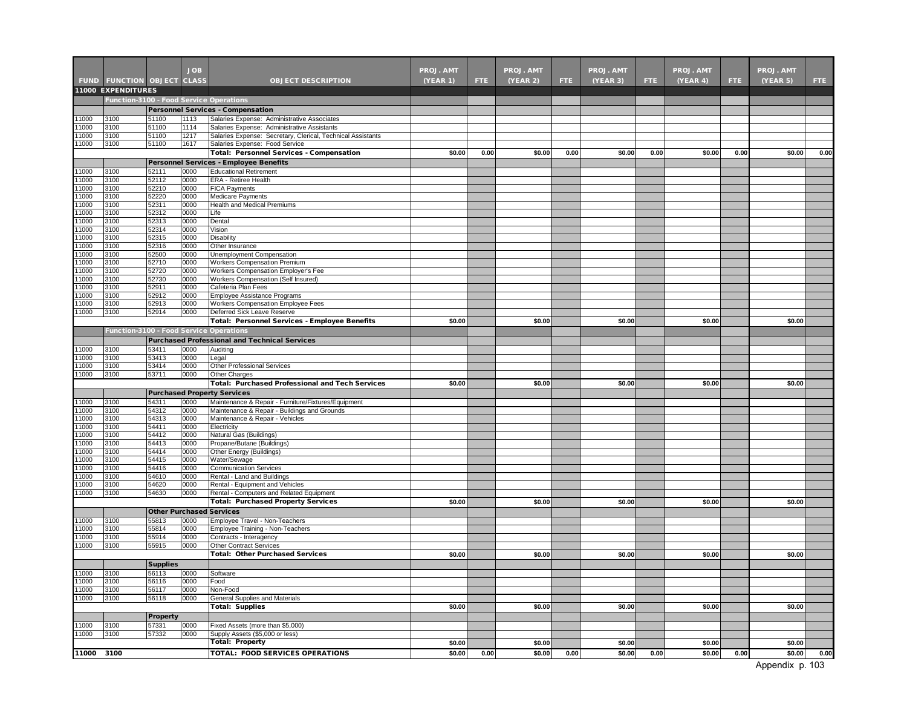|                |                                         |                 | <b>JOB</b>   |                                                                                                            | <b>PROJ. AMT</b> |      | <b>PROJ. AMT</b> |      | <b>PROJ. AMT</b> |      | PROJ. AMT |      | PROJ. AMT |      |
|----------------|-----------------------------------------|-----------------|--------------|------------------------------------------------------------------------------------------------------------|------------------|------|------------------|------|------------------|------|-----------|------|-----------|------|
|                | <b>FUND FUNCTION OBJECT CLASS</b>       |                 |              | <b>OBJECT DESCRIPTION</b>                                                                                  | <b>(YEAR 1)</b>  | FTE. | (YEAR 2)         | FTE. | (YEAR 3)         | FTE. | (YEAR 4)  | FTE. | (YEAR 5)  | FTE. |
|                | <b>11000 EXPENDITURES</b>               |                 |              |                                                                                                            |                  |      |                  |      |                  |      |           |      |           |      |
|                |                                         |                 |              | Function-3100 - Food Service Operations                                                                    |                  |      |                  |      |                  |      |           |      |           |      |
|                |                                         |                 |              | <b>Personnel Services - Compensation</b>                                                                   |                  |      |                  |      |                  |      |           |      |           |      |
| 11000          | 3100                                    | 51100           | 1113         | Salaries Expense: Administrative Associates                                                                |                  |      |                  |      |                  |      |           |      |           |      |
| 1000<br>1000   | 3100<br>3100                            | 51100<br>51100  | 1114<br>1217 | Salaries Expense: Administrative Assistants<br>Salaries Expense: Secretary, Clerical, Technical Assistants |                  |      |                  |      |                  |      |           |      |           |      |
| 1000           | 3100                                    | 51100           | 1617         | Salaries Expense: Food Service                                                                             |                  |      |                  |      |                  |      |           |      |           |      |
|                |                                         |                 |              | Total: Personnel Services - Compensation                                                                   | \$0.00           | 0.00 | \$0.00           | 0.00 | \$0.00           | 0.00 | \$0.00    | 0.00 | \$0.00    | 0.00 |
|                |                                         |                 |              | Personnel Services - Employee Benefits                                                                     |                  |      |                  |      |                  |      |           |      |           |      |
| 11000          | 3100                                    | 52111           | 0000         | <b>Educational Retirement</b>                                                                              |                  |      |                  |      |                  |      |           |      |           |      |
| 1000           | 3100                                    | 52112           | 0000         | ERA - Retiree Health                                                                                       |                  |      |                  |      |                  |      |           |      |           |      |
| 1000<br>11000  | 3100<br>3100                            | 52210<br>52220  | 0000<br>0000 | <b>FICA Payments</b><br>Medicare Payments                                                                  |                  |      |                  |      |                  |      |           |      |           |      |
| 1000           | 3100                                    | 52311           | 0000         | Health and Medical Premiums                                                                                |                  |      |                  |      |                  |      |           |      |           |      |
| 11000          | 3100                                    | 52312           | 0000         | Life                                                                                                       |                  |      |                  |      |                  |      |           |      |           |      |
| 1000           | 3100                                    | 52313           | 0000         | Dental                                                                                                     |                  |      |                  |      |                  |      |           |      |           |      |
| 1000           | 3100                                    | 52314           | 0000         | Vision                                                                                                     |                  |      |                  |      |                  |      |           |      |           |      |
| 11000<br>11000 | 3100<br>3100                            | 52315<br>52316  | 0000<br>0000 | Disability<br>Other Insurance                                                                              |                  |      |                  |      |                  |      |           |      |           |      |
| 1000           | 3100                                    | 52500           | 0000         | Unemployment Compensation                                                                                  |                  |      |                  |      |                  |      |           |      |           |      |
| 1000           | 3100                                    | 52710           | 0000         | <b>Workers Compensation Premium</b>                                                                        |                  |      |                  |      |                  |      |           |      |           |      |
| 1000           | 3100                                    | 52720           | 0000         | Workers Compensation Employer's Fee                                                                        |                  |      |                  |      |                  |      |           |      |           |      |
| 1000           | 3100                                    | 52730           | 0000         | Workers Compensation (Self Insured)                                                                        |                  |      |                  |      |                  |      |           |      |           |      |
| 1000           | 3100                                    | 52911           | 0000         | Cafeteria Plan Fees                                                                                        |                  |      |                  |      |                  |      |           |      |           |      |
| 1000<br>1000   | 3100<br>3100                            | 52912<br>52913  | 0000<br>0000 | Employee Assistance Programs<br>Workers Compensation Employee Fees                                         |                  |      |                  |      |                  |      |           |      |           |      |
| 1000           | 3100                                    | 52914           | 0000         | Deferred Sick Leave Reserve                                                                                |                  |      |                  |      |                  |      |           |      |           |      |
|                |                                         |                 |              | <b>Total: Personnel Services - Employee Benefits</b>                                                       | \$0.00           |      | \$0.00           |      | \$0.00           |      | \$0.00    |      | \$0.00    |      |
|                | Function-3100 - Food Service Operations |                 |              |                                                                                                            |                  |      |                  |      |                  |      |           |      |           |      |
|                |                                         |                 |              | <b>Purchased Professional and Technical Services</b>                                                       |                  |      |                  |      |                  |      |           |      |           |      |
| 1000           | 3100                                    | 53411           | 0000         | Auditing                                                                                                   |                  |      |                  |      |                  |      |           |      |           |      |
| 1000           | 3100                                    | 53413           | 0000         | Legal                                                                                                      |                  |      |                  |      |                  |      |           |      |           |      |
| 1000           | 3100                                    | 53414           | 0000         | <b>Other Professional Services</b>                                                                         |                  |      |                  |      |                  |      |           |      |           |      |
| 1000           | 3100                                    | 53711           | 0000         | <b>Other Charges</b><br><b>Total: Purchased Professional and Tech Services</b>                             | \$0.00           |      | \$0.00           |      | \$0.00           |      | \$0.00    |      | \$0.00    |      |
|                |                                         |                 |              | <b>Purchased Property Services</b>                                                                         |                  |      |                  |      |                  |      |           |      |           |      |
| 1000           | 3100                                    | 54311           | 0000         | Maintenance & Repair - Furniture/Fixtures/Equipment                                                        |                  |      |                  |      |                  |      |           |      |           |      |
| 11000          | 3100                                    | 54312           | 0000         | Maintenance & Repair - Buildings and Grounds                                                               |                  |      |                  |      |                  |      |           |      |           |      |
| 1000           | 3100                                    | 54313           | 0000         | Maintenance & Repair - Vehicles                                                                            |                  |      |                  |      |                  |      |           |      |           |      |
| 1000           | 3100                                    | 54411           | 0000         | Electricity                                                                                                |                  |      |                  |      |                  |      |           |      |           |      |
| 1000           | 3100                                    | 54412           | 0000         | Natural Gas (Buildings)                                                                                    |                  |      |                  |      |                  |      |           |      |           |      |
| 11000<br>11000 | 3100<br>3100                            | 54413<br>54414  | 0000<br>0000 | Propane/Butane (Buildings)<br>Other Energy (Buildings)                                                     |                  |      |                  |      |                  |      |           |      |           |      |
| 1000           | 3100                                    | 54415           | 0000         | Water/Sewage                                                                                               |                  |      |                  |      |                  |      |           |      |           |      |
| 1000           | 3100                                    | 54416           | 0000         | <b>Communication Services</b>                                                                              |                  |      |                  |      |                  |      |           |      |           |      |
| 1000           | 3100                                    | 54610           | 0000         | Rental - Land and Buildings                                                                                |                  |      |                  |      |                  |      |           |      |           |      |
| 1000           | 3100                                    | 54620           | 0000         | Rental - Equipment and Vehicles                                                                            |                  |      |                  |      |                  |      |           |      |           |      |
| 11000          | 3100                                    | 54630           | 0000         | Rental - Computers and Related Equipment<br><b>Total: Purchased Property Services</b>                      | \$0.00           |      | \$0.00           |      | \$0.00           |      | \$0.00    |      | \$0.00    |      |
|                |                                         |                 |              |                                                                                                            |                  |      |                  |      |                  |      |           |      |           |      |
| 1000           | 3100                                    | 55813           | 0000         | <b>Other Purchased Services</b><br>Employee Travel - Non-Teachers                                          |                  |      |                  |      |                  |      |           |      |           |      |
| 1000           | 3100                                    | 55814           | 0000         | Employee Training - Non-Teachers                                                                           |                  |      |                  |      |                  |      |           |      |           |      |
| 1000           | 3100                                    | 55914           | 0000         | Contracts - Interagency                                                                                    |                  |      |                  |      |                  |      |           |      |           |      |
| 1000           | 3100                                    | 55915           | 0000         | <b>Other Contract Services</b>                                                                             |                  |      |                  |      |                  |      |           |      |           |      |
|                |                                         |                 |              | <b>Total: Other Purchased Services</b>                                                                     | \$0.00           |      | \$0.00           |      | \$0.00           |      | \$0.00    |      | \$0.00    |      |
|                |                                         | <b>Supplies</b> |              |                                                                                                            |                  |      |                  |      |                  |      |           |      |           |      |
| 11000          | 3100                                    | 56113           | 0000         | Software                                                                                                   |                  |      |                  |      |                  |      |           |      |           |      |
| 11000<br>11000 | 3100<br>3100                            | 56116<br>56117  | 0000<br>0000 | Food<br>Non-Food                                                                                           |                  |      |                  |      |                  |      |           |      |           |      |
| 11000          | 3100                                    | 56118           | 0000         | General Supplies and Materials                                                                             |                  |      |                  |      |                  |      |           |      |           |      |
|                |                                         |                 |              | <b>Total: Supplies</b>                                                                                     | \$0.00           |      | \$0.00           |      | \$0.00           |      | \$0.00    |      | \$0.00    |      |
|                |                                         | Property        |              |                                                                                                            |                  |      |                  |      |                  |      |           |      |           |      |
| 11000          | 3100                                    | 57331           | 0000         | Fixed Assets (more than \$5,000)                                                                           |                  |      |                  |      |                  |      |           |      |           |      |
| 11000          | 3100                                    | 57332           | 0000         | Supply Assets (\$5,000 or less)                                                                            |                  |      |                  |      |                  |      |           |      |           |      |
|                |                                         |                 |              | <b>Total: Property</b>                                                                                     | \$0.00           |      | \$0.00           |      | \$0.00           |      | \$0.00    |      | \$0.00    |      |
| 11000 3100     |                                         |                 |              | <b>TOTAL: FOOD SERVICES OPERATIONS</b>                                                                     | \$0.00           | 0.00 | \$0.00           | 0.00 | \$0.00           | 0.00 | \$0.00    | 0.00 | \$0.00    | 0.00 |